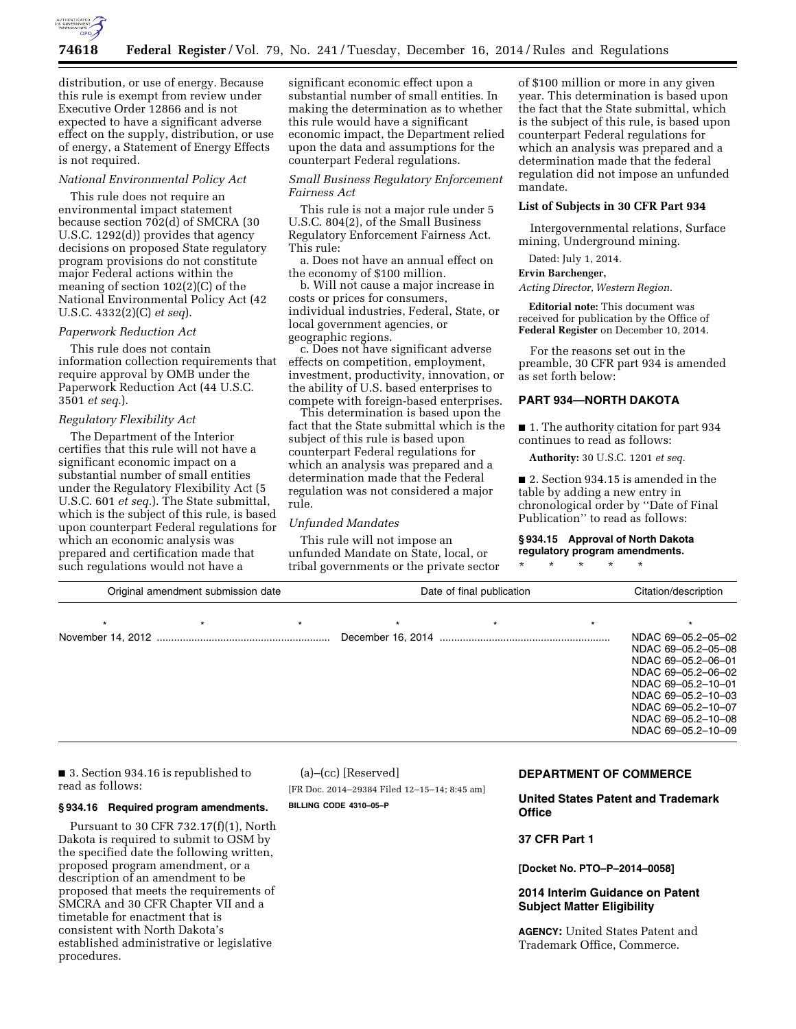

distribution, or use of energy. Because this rule is exempt from review under Executive Order 12866 and is not expected to have a significant adverse effect on the supply, distribution, or use of energy, a Statement of Energy Effects is not required.

# *National Environmental Policy Act*

This rule does not require an environmental impact statement because section 702(d) of SMCRA (30 U.S.C. 1292(d)) provides that agency decisions on proposed State regulatory program provisions do not constitute major Federal actions within the meaning of section 102(2)(C) of the National Environmental Policy Act (42 U.S.C. 4332(2)(C) *et seq*).

### *Paperwork Reduction Act*

This rule does not contain information collection requirements that require approval by OMB under the Paperwork Reduction Act (44 U.S.C. 3501 *et seq.*).

#### *Regulatory Flexibility Act*

The Department of the Interior certifies that this rule will not have a significant economic impact on a substantial number of small entities under the Regulatory Flexibility Act (5 U.S.C. 601 *et seq.*). The State submittal, which is the subject of this rule, is based upon counterpart Federal regulations for which an economic analysis was prepared and certification made that such regulations would not have a

significant economic effect upon a substantial number of small entities. In making the determination as to whether this rule would have a significant economic impact, the Department relied upon the data and assumptions for the counterpart Federal regulations.

# *Small Business Regulatory Enforcement Fairness Act*

This rule is not a major rule under 5 U.S.C. 804(2), of the Small Business Regulatory Enforcement Fairness Act. This rule:

a. Does not have an annual effect on the economy of \$100 million.

b. Will not cause a major increase in costs or prices for consumers, individual industries, Federal, State, or local government agencies, or geographic regions.

c. Does not have significant adverse effects on competition, employment, investment, productivity, innovation, or the ability of U.S. based enterprises to compete with foreign-based enterprises.

This determination is based upon the fact that the State submittal which is the subject of this rule is based upon counterpart Federal regulations for which an analysis was prepared and a determination made that the Federal regulation was not considered a major rule.

#### *Unfunded Mandates*

This rule will not impose an unfunded Mandate on State, local, or tribal governments or the private sector

of \$100 million or more in any given year. This determination is based upon the fact that the State submittal, which is the subject of this rule, is based upon counterpart Federal regulations for which an analysis was prepared and a determination made that the federal regulation did not impose an unfunded mandate.

# **List of Subjects in 30 CFR Part 934**

Intergovernmental relations, Surface mining, Underground mining.

Dated: July 1, 2014.

### **Ervin Barchenger,**

*Acting Director, Western Region.* 

**Editorial note:** This document was received for publication by the Office of **Federal Register** on December 10, 2014.

For the reasons set out in the preamble, 30 CFR part 934 is amended as set forth below:

### **PART 934—NORTH DAKOTA**

■ 1. The authority citation for part 934 continues to read as follows:

**Authority:** 30 U.S.C. 1201 *et seq.* 

■ 2. Section 934.15 is amended in the table by adding a new entry in chronological order by ''Date of Final Publication'' to read as follows:

# **§ 934.15 Approval of North Dakota regulatory program amendments.**

\* \* \* \* \*

| Original amendment submission date |  |         | Date of final publication |  |         | Citation/description                                                                                                                                                                               |
|------------------------------------|--|---------|---------------------------|--|---------|----------------------------------------------------------------------------------------------------------------------------------------------------------------------------------------------------|
| $\star$                            |  | $\star$ | $\star$                   |  | $\star$ | $\star$                                                                                                                                                                                            |
|                                    |  |         |                           |  |         | NDAC 69-05.2-05-02<br>NDAC 69-05.2-05-08<br>NDAC 69-05.2-06-01<br>NDAC 69-05.2-06-02<br>NDAC 69-05.2-10-01<br>NDAC 69-05.2-10-03<br>NDAC 69-05.2-10-07<br>NDAC 69-05.2-10-08<br>NDAC 69-05.2-10-09 |

■ 3. Section 934.16 is republished to read as follows:

#### **§ 934.16 Required program amendments.**

Pursuant to 30 CFR 732.17(f)(1), North Dakota is required to submit to OSM by the specified date the following written, proposed program amendment, or a description of an amendment to be proposed that meets the requirements of SMCRA and 30 CFR Chapter VII and a timetable for enactment that is consistent with North Dakota's established administrative or legislative procedures.

(a)–(cc) [Reserved] [FR Doc. 2014–29384 Filed 12–15–14; 8:45 am] **BILLING CODE 4310–05–P** 

#### **DEPARTMENT OF COMMERCE**

**United States Patent and Trademark Office** 

**37 CFR Part 1** 

**[Docket No. PTO–P–2014–0058]** 

# **2014 Interim Guidance on Patent Subject Matter Eligibility**

**AGENCY:** United States Patent and Trademark Office, Commerce.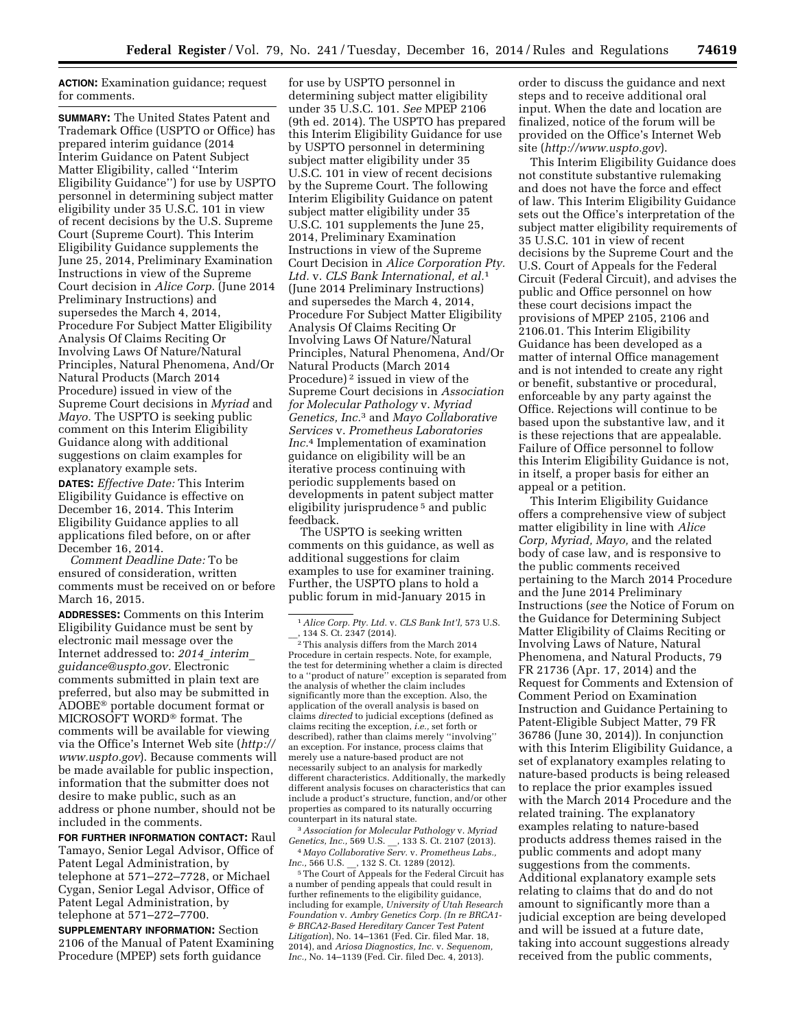**ACTION:** Examination guidance; request for comments.

**SUMMARY:** The United States Patent and Trademark Office (USPTO or Office) has prepared interim guidance (2014 Interim Guidance on Patent Subject Matter Eligibility, called ''Interim Eligibility Guidance'') for use by USPTO personnel in determining subject matter eligibility under 35 U.S.C. 101 in view of recent decisions by the U.S. Supreme Court (Supreme Court). This Interim Eligibility Guidance supplements the June 25, 2014, Preliminary Examination Instructions in view of the Supreme Court decision in *Alice Corp.* (June 2014 Preliminary Instructions) and supersedes the March 4, 2014, Procedure For Subject Matter Eligibility Analysis Of Claims Reciting Or Involving Laws Of Nature/Natural Principles, Natural Phenomena, And/Or Natural Products (March 2014 Procedure) issued in view of the Supreme Court decisions in *Myriad* and *Mayo.* The USPTO is seeking public comment on this Interim Eligibility Guidance along with additional suggestions on claim examples for explanatory example sets. **DATES:** *Effective Date:* This Interim

Eligibility Guidance is effective on December 16, 2014. This Interim Eligibility Guidance applies to all applications filed before, on or after December 16, 2014.

*Comment Deadline Date:* To be ensured of consideration, written comments must be received on or before March 16, 2015.

**ADDRESSES:** Comments on this Interim Eligibility Guidance must be sent by electronic mail message over the Internet addressed to: *2014*\_*[interim](mailto:2014_interim_guidance@uspto.gov)*\_ *[guidance@uspto.gov.](mailto:2014_interim_guidance@uspto.gov)* Electronic comments submitted in plain text are preferred, but also may be submitted in ADOBE® portable document format or MICROSOFT WORD® format. The comments will be available for viewing via the Office's Internet Web site (*[http://](http://www.uspto.gov)  [www.uspto.gov](http://www.uspto.gov)*). Because comments will be made available for public inspection, information that the submitter does not desire to make public, such as an address or phone number, should not be included in the comments.

**FOR FURTHER INFORMATION CONTACT:** Raul Tamayo, Senior Legal Advisor, Office of Patent Legal Administration, by telephone at 571–272–7728, or Michael Cygan, Senior Legal Advisor, Office of Patent Legal Administration, by telephone at 571–272–7700.

**SUPPLEMENTARY INFORMATION:** Section 2106 of the Manual of Patent Examining Procedure (MPEP) sets forth guidance

for use by USPTO personnel in determining subject matter eligibility under 35 U.S.C. 101. *See* MPEP 2106 (9th ed. 2014). The USPTO has prepared this Interim Eligibility Guidance for use by USPTO personnel in determining subject matter eligibility under 35 U.S.C. 101 in view of recent decisions by the Supreme Court. The following Interim Eligibility Guidance on patent subject matter eligibility under 35 U.S.C. 101 supplements the June 25, 2014, Preliminary Examination Instructions in view of the Supreme Court Decision in *Alice Corporation Pty. Ltd.* v. *CLS Bank International, et al.*1 (June 2014 Preliminary Instructions) and supersedes the March 4, 2014, Procedure For Subject Matter Eligibility Analysis Of Claims Reciting Or Involving Laws Of Nature/Natural Principles, Natural Phenomena, And/Or Natural Products (March 2014 Procedure) 2 issued in view of the Supreme Court decisions in *Association for Molecular Pathology* v. *Myriad Genetics, Inc.*3 and *Mayo Collaborative Services* v. *Prometheus Laboratories Inc.*4 Implementation of examination guidance on eligibility will be an iterative process continuing with periodic supplements based on developments in patent subject matter eligibility jurisprudence 5 and public feedback.

The USPTO is seeking written comments on this guidance, as well as additional suggestions for claim examples to use for examiner training. Further, the USPTO plans to hold a public forum in mid-January 2015 in

3*Association for Molecular Pathology* v. *Myriad Genetics, Inc.,* 569 U.S. \_\_, 133 S. Ct. 2107 (2013).

4 *Mayo Collaborative Serv.* v. *Prometheus Labs., Inc.,* 566 U.S. \_\_, 132 S. Ct. 1289 (2012).

5The Court of Appeals for the Federal Circuit has a number of pending appeals that could result in further refinements to the eligibility guidance, including for example, *University of Utah Research Foundation* v. *Ambry Genetics Corp. (In re BRCA1- & BRCA2-Based Hereditary Cancer Test Patent Litigation*), No. 14–1361 (Fed. Cir. filed Mar. 18, 2014), and *Ariosa Diagnostics, Inc.* v. *Sequenom, Inc.,* No. 14–1139 (Fed. Cir. filed Dec. 4, 2013).

order to discuss the guidance and next steps and to receive additional oral input. When the date and location are finalized, notice of the forum will be provided on the Office's Internet Web site (*<http://www.uspto.gov>*).

This Interim Eligibility Guidance does not constitute substantive rulemaking and does not have the force and effect of law. This Interim Eligibility Guidance sets out the Office's interpretation of the subject matter eligibility requirements of 35 U.S.C. 101 in view of recent decisions by the Supreme Court and the U.S. Court of Appeals for the Federal Circuit (Federal Circuit), and advises the public and Office personnel on how these court decisions impact the provisions of MPEP 2105, 2106 and 2106.01. This Interim Eligibility Guidance has been developed as a matter of internal Office management and is not intended to create any right or benefit, substantive or procedural, enforceable by any party against the Office. Rejections will continue to be based upon the substantive law, and it is these rejections that are appealable. Failure of Office personnel to follow this Interim Eligibility Guidance is not, in itself, a proper basis for either an appeal or a petition.

This Interim Eligibility Guidance offers a comprehensive view of subject matter eligibility in line with *Alice Corp, Myriad, Mayo,* and the related body of case law, and is responsive to the public comments received pertaining to the March 2014 Procedure and the June 2014 Preliminary Instructions (*see* the Notice of Forum on the Guidance for Determining Subject Matter Eligibility of Claims Reciting or Involving Laws of Nature, Natural Phenomena, and Natural Products, 79 FR 21736 (Apr. 17, 2014) and the Request for Comments and Extension of Comment Period on Examination Instruction and Guidance Pertaining to Patent-Eligible Subject Matter, 79 FR 36786 (June 30, 2014)). In conjunction with this Interim Eligibility Guidance, a set of explanatory examples relating to nature-based products is being released to replace the prior examples issued with the March 2014 Procedure and the related training. The explanatory examples relating to nature-based products address themes raised in the public comments and adopt many suggestions from the comments. Additional explanatory example sets relating to claims that do and do not amount to significantly more than a judicial exception are being developed and will be issued at a future date, taking into account suggestions already received from the public comments,

<sup>1</sup>*Alice Corp. Pty. Ltd.* v. *CLS Bank Int'l,* 573 U.S.  $\frac{1}{2}$ , 134 S. Ct. 2347 (2014).

<sup>2</sup>This analysis differs from the March 2014 Procedure in certain respects. Note, for example, the test for determining whether a claim is directed to a ''product of nature'' exception is separated from the analysis of whether the claim includes significantly more than the exception. Also, the application of the overall analysis is based on claims *directed* to judicial exceptions (defined as claims reciting the exception, *i.e.,* set forth or described), rather than claims merely ''involving'' an exception. For instance, process claims that merely use a nature-based product are not necessarily subject to an analysis for markedly different characteristics. Additionally, the markedly different analysis focuses on characteristics that can include a product's structure, function, and/or other properties as compared to its naturally occurring counterpart in its natural state.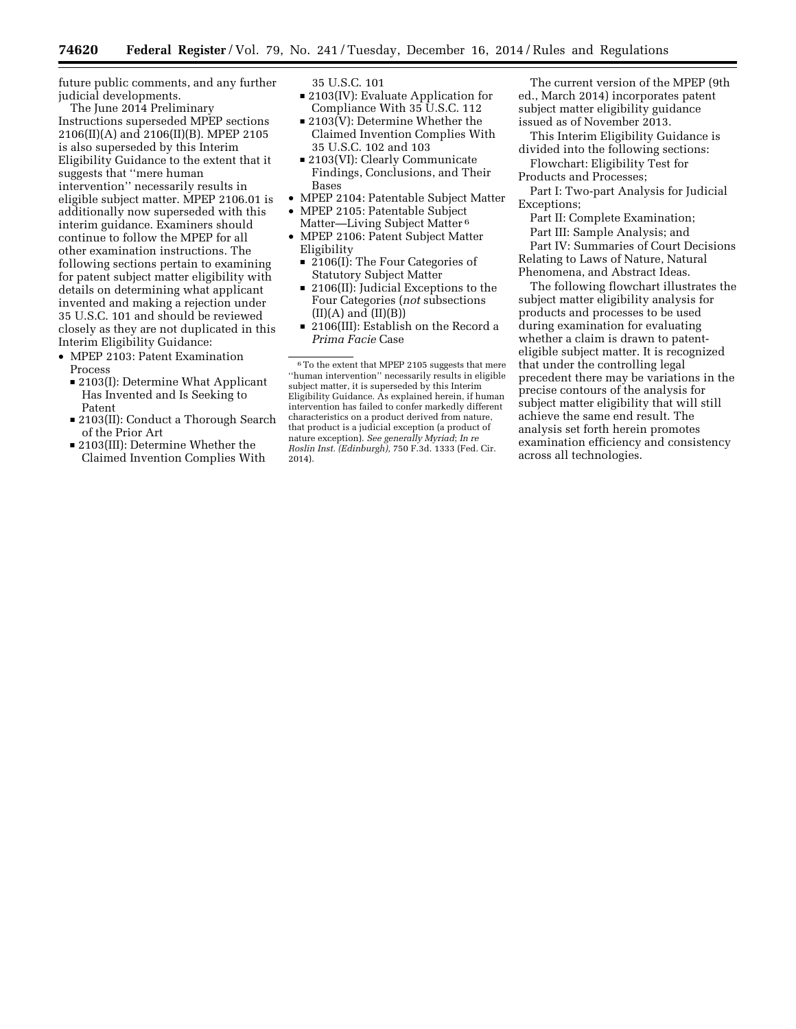future public comments, and any further judicial developments.

The June 2014 Preliminary Instructions superseded MPEP sections 2106(II)(A) and 2106(II)(B). MPEP 2105 is also superseded by this Interim Eligibility Guidance to the extent that it suggests that ''mere human intervention'' necessarily results in eligible subject matter. MPEP 2106.01 is additionally now superseded with this interim guidance. Examiners should continue to follow the MPEP for all other examination instructions. The following sections pertain to examining for patent subject matter eligibility with details on determining what applicant invented and making a rejection under 35 U.S.C. 101 and should be reviewed closely as they are not duplicated in this Interim Eligibility Guidance:

- MPEP 2103: Patent Examination Process
	- $\blacksquare$  2103(I): Determine What Applicant Has Invented and Is Seeking to Patent
	- 2103(II): Conduct a Thorough Search of the Prior Art
	- 2103(III): Determine Whether the Claimed Invention Complies With

35 U.S.C. 101

- $\blacksquare$  2103(IV): Evaluate Application for Compliance With 35 U.S.C. 112
- $\blacksquare$  2103(V): Determine Whether the Claimed Invention Complies With 35 U.S.C. 102 and 103
- 2103(VI): Clearly Communicate Findings, Conclusions, and Their Bases
- MPEP 2104: Patentable Subject Matter
- MPEP 2105: Patentable Subject Matter—Living Subject Matter 6
- MPEP 2106: Patent Subject Matter Eligibility
	- 2106(I): The Four Categories of Statutory Subject Matter
	- $2106(II)$ : Judicial Exceptions to the Four Categories (*not* subsections  $(II)(A)$  and  $(II)(B)$
	- 2106(III): Establish on the Record a *Prima Facie* Case

The current version of the MPEP (9th ed., March 2014) incorporates patent subject matter eligibility guidance issued as of November 2013.

This Interim Eligibility Guidance is divided into the following sections:

Flowchart: Eligibility Test for Products and Processes;

Part I: Two-part Analysis for Judicial Exceptions;

Part II: Complete Examination;

Part III: Sample Analysis; and

Part IV: Summaries of Court Decisions Relating to Laws of Nature, Natural Phenomena, and Abstract Ideas.

The following flowchart illustrates the subject matter eligibility analysis for products and processes to be used during examination for evaluating whether a claim is drawn to patenteligible subject matter. It is recognized that under the controlling legal precedent there may be variations in the precise contours of the analysis for subject matter eligibility that will still achieve the same end result. The analysis set forth herein promotes examination efficiency and consistency across all technologies.

<sup>6</sup>To the extent that MPEP 2105 suggests that mere ''human intervention'' necessarily results in eligible subject matter, it is superseded by this Interim Eligibility Guidance. As explained herein, if human intervention has failed to confer markedly different characteristics on a product derived from nature, that product is a judicial exception (a product of nature exception). *See generally Myriad*; *In re Roslin Inst. (Edinburgh),* 750 F.3d. 1333 (Fed. Cir. 2014).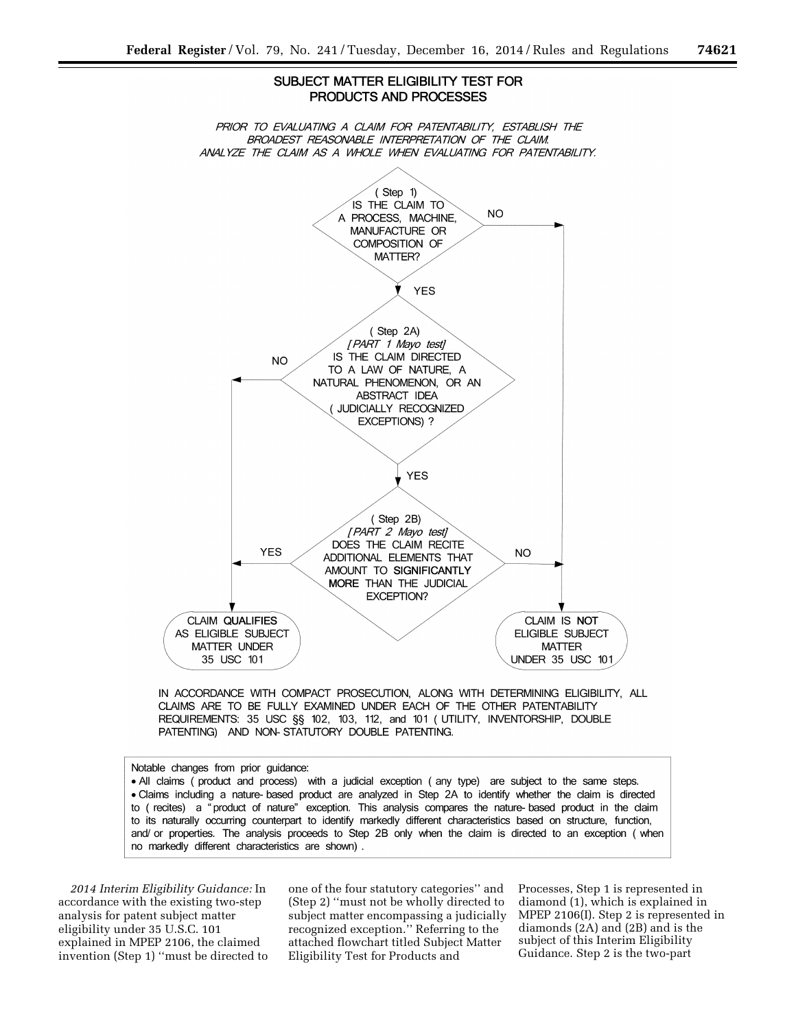

IN ACCORDANCE WITH COMPACT PROSECUTION, ALONG WITH DETERMINING ELIGIBILITY, ALL CLAIMS ARE TO BE FULLY EXAMINED UNDER EACH OF THE OTHER PATENTABILITY REQUIREMENTS: 35 USC §§ 102, 103, 112, and 101 ( UTILITY, INVENTORSHIP, DOUBLE PATENTING) AND NON- STATUTORY DOUBLE PATENTING.

Notable changes from prior guidance:

• All daims ( product and process) with a judidal exception ( any type) are subject to the same steps. • Oaims induding a nature- based product are analyzed in Step 2A to identify whether the daim is directed to ( recites) a "product of nature" exception. This analysis compares the nature- based product in the daim to its naturally occurring counterpart to identify markedly different characteristics based on structure, function, and/ or properties. The analysis proceeds to Step 2B only when the daim is directed to an exception (when no markedly different characteristics are shown) .

*2014 Interim Eligibility Guidance:* In accordance with the existing two-step analysis for patent subject matter eligibility under 35 U.S.C. 101 explained in MPEP 2106, the claimed invention (Step 1) ''must be directed to one of the four statutory categories'' and (Step 2) ''must not be wholly directed to subject matter encompassing a judicially recognized exception.'' Referring to the attached flowchart titled Subject Matter Eligibility Test for Products and

Processes, Step 1 is represented in diamond (1), which is explained in MPEP 2106(I). Step 2 is represented in diamonds (2A) and (2B) and is the subject of this Interim Eligibility Guidance. Step 2 is the two-part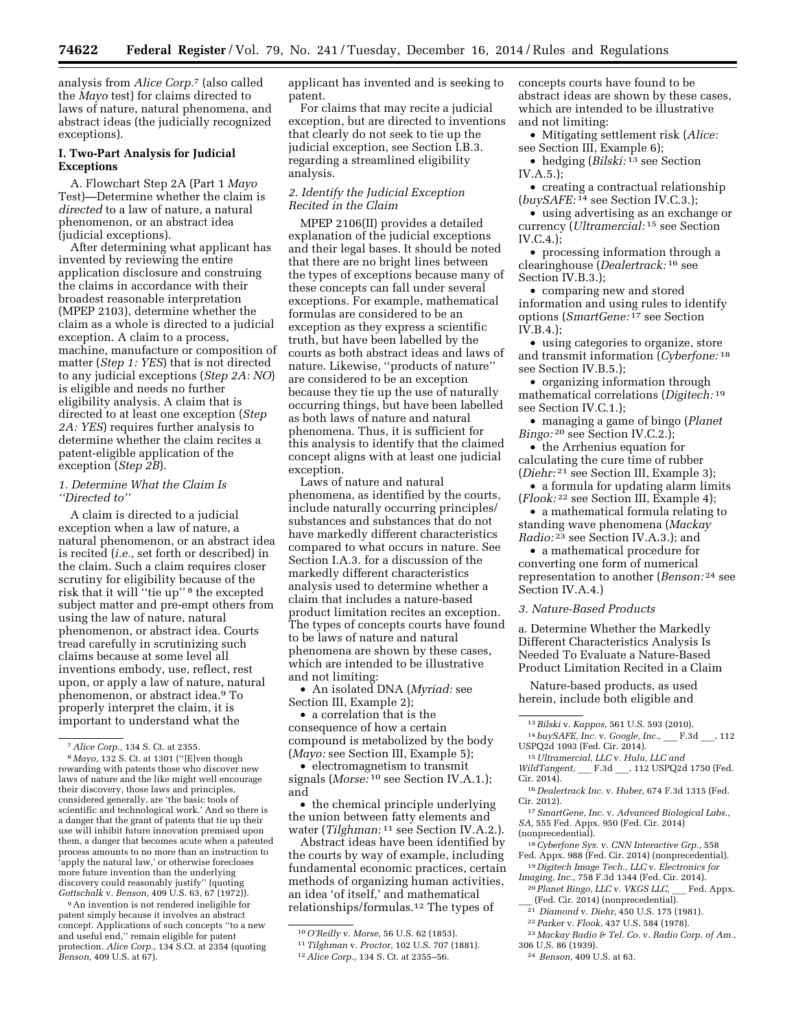analysis from *Alice Corp.*7 (also called the *Mayo* test) for claims directed to laws of nature, natural phenomena, and abstract ideas (the judicially recognized exceptions).

### **I. Two-Part Analysis for Judicial Exceptions**

A. Flowchart Step 2A (Part 1 *Mayo*  Test)—Determine whether the claim is *directed* to a law of nature, a natural phenomenon, or an abstract idea (judicial exceptions).

After determining what applicant has invented by reviewing the entire application disclosure and construing the claims in accordance with their broadest reasonable interpretation (MPEP 2103), determine whether the claim as a whole is directed to a judicial exception. A claim to a process, machine, manufacture or composition of matter (*Step 1: YES*) that is not directed to any judicial exceptions (*Step 2A: NO*) is eligible and needs no further eligibility analysis. A claim that is directed to at least one exception (*Step 2A: YES*) requires further analysis to determine whether the claim recites a patent-eligible application of the exception (*Step 2B*).

# *1. Determine What the Claim Is ''Directed to''*

A claim is directed to a judicial exception when a law of nature, a natural phenomenon, or an abstract idea is recited (*i.e.,* set forth or described) in the claim. Such a claim requires closer scrutiny for eligibility because of the risk that it will "tie up"<sup>8</sup> the excepted subject matter and pre-empt others from using the law of nature, natural phenomenon, or abstract idea. Courts tread carefully in scrutinizing such claims because at some level all inventions embody, use, reflect, rest upon, or apply a law of nature, natural phenomenon, or abstract idea.9 To properly interpret the claim, it is important to understand what the

9An invention is not rendered ineligible for patent simply because it involves an abstract concept. Applications of such concepts ''to a new and useful end,'' remain eligible for patent protection. *Alice Corp.,* 134 S.Ct. at 2354 (quoting *Benson,* 409 U.S. at 67).

applicant has invented and is seeking to patent.

For claims that may recite a judicial exception, but are directed to inventions that clearly do not seek to tie up the judicial exception, see Section I.B.3. regarding a streamlined eligibility analysis.

# *2. Identify the Judicial Exception Recited in the Claim*

MPEP 2106(II) provides a detailed explanation of the judicial exceptions and their legal bases. It should be noted that there are no bright lines between the types of exceptions because many of these concepts can fall under several exceptions. For example, mathematical formulas are considered to be an exception as they express a scientific truth, but have been labelled by the courts as both abstract ideas and laws of nature. Likewise, ''products of nature'' are considered to be an exception because they tie up the use of naturally occurring things, but have been labelled as both laws of nature and natural phenomena. Thus, it is sufficient for this analysis to identify that the claimed concept aligns with at least one judicial exception.

Laws of nature and natural phenomena, as identified by the courts, include naturally occurring principles/ substances and substances that do not have markedly different characteristics compared to what occurs in nature. See Section I.A.3. for a discussion of the markedly different characteristics analysis used to determine whether a claim that includes a nature-based product limitation recites an exception. The types of concepts courts have found to be laws of nature and natural phenomena are shown by these cases, which are intended to be illustrative and not limiting:

• An isolated DNA (*Myriad:* see Section III, Example 2);

• a correlation that is the consequence of how a certain compound is metabolized by the body (*Mayo:* see Section III, Example 5);

• electromagnetism to transmit signals (*Morse:* 10 see Section IV.A.1.); and

• the chemical principle underlying the union between fatty elements and water (*Tilghman:* 11 see Section IV.A.2.).

Abstract ideas have been identified by the courts by way of example, including fundamental economic practices, certain methods of organizing human activities, an idea 'of itself,' and mathematical relationships/formulas.12 The types of

concepts courts have found to be abstract ideas are shown by these cases, which are intended to be illustrative and not limiting:

• Mitigating settlement risk (*Alice:*  see Section III, Example 6);

• hedging (*Bilski*:<sup>13</sup> see Section IV.A.5.);

• creating a contractual relationship (*buySAFE:* 14 see Section IV.C.3.);

• using advertising as an exchange or currency (*Ultramercial:* 15 see Section IV.C.4.);

• processing information through a clearinghouse (*Dealertrack:* 16 see Section IV.B.3.);

• comparing new and stored information and using rules to identify options (*SmartGene:* 17 see Section IV.B.4.);

• using categories to organize, store and transmit information (*Cyberfone:* 18 see Section IV.B.5.);

• organizing information through mathematical correlations (*Digitech:* 19 see Section IV.C.1.);

• managing a game of bingo (*Planet Bingo:* 20 see Section IV.C.2.);

• the Arrhenius equation for calculating the cure time of rubber (*Diehr:* 21 see Section III, Example 3);

• a formula for updating alarm limits (*Flook:* 22 see Section III, Example 4);

• a mathematical formula relating to standing wave phenomena (*Mackay Radio:* 23 see Section IV.A.3.); and

• a mathematical procedure for converting one form of numerical representation to another (*Benson:* 24 see Section IV.A.4.)

*3. Nature-Based Products* 

a. Determine Whether the Markedly Different Characteristics Analysis Is Needed To Evaluate a Nature-Based Product Limitation Recited in a Claim

Nature-based products, as used herein, include both eligible and

- *WildTangent,* \_\_\_ F.3d \_\_\_, 112 USPQ2d 1750 (Fed. Cir. 2014).
- 16 *Dealertrack Inc.* v. *Huber,* 674 F.3d 1315 (Fed.
- Cir. 2012). 17*SmartGene, Inc.* v. *Advanced Biological Labs., SA,* 555 Fed. Appx. 950 (Fed. Cir. 2014)
- (nonprecedential). 18*Cyberfone Sys.* v. *CNN Interactive Grp.,* 558 Fed. Appx. 988 (Fed. Cir. 2014) (nonprecedential).
- 19 *Digitech Image Tech., LLC* v. *Electronics for Imaging, Inc.,* 758 F.3d 1344 (Fed. Cir. 2014).

20*Planet Bingo, LLC* v. *VKGS LLC,* \_\_\_ Fed. Appx. (Fed. Cir. 2014) (nonprecedential).

- 21 *Diamond* v. *Diehr,* 450 U.S. 175 (1981).
- 22*Parker* v. *Flook,* 437 U.S. 584 (1978).
- 23 *Mackay Radio & Tel. Co.* v. *Radio Corp. of Am.,*  306 U.S. 86 (1939).
- 24 *Benson,* 409 U.S. at 63.

<sup>7</sup>*Alice Corp.,* 134 S. Ct. at 2355.

<sup>8</sup> *Mayo,* 132 S. Ct. at 1301 (''[E]ven though rewarding with patents those who discover new laws of nature and the like might well encourage their discovery, those laws and principles, considered generally, are 'the basic tools of scientific and technological work.' And so there is a danger that the grant of patents that tie up their use will inhibit future innovation premised upon them, a danger that becomes acute when a patented process amounts to no more than an instruction to 'apply the natural law,' or otherwise forecloses more future invention than the underlying discovery could reasonably justify'' (quoting *Gottschalk* v. *Benson,* 409 U.S. 63, 67 (1972)).

<sup>10</sup>*O'Reilly* v. *Morse,* 56 U.S. 62 (1853).

<sup>11</sup>*Tilghman* v. *Proctor,* 102 U.S. 707 (1881).

<sup>12</sup>*Alice Corp.,* 134 S. Ct. at 2355–56.

<sup>13</sup>*Bilski* v. *Kappos,* 561 U.S. 593 (2010).

<sup>14</sup> *buySAFE, Inc.* v. *Google, Inc.,* \_\_\_ F.3d \_\_\_, 112 USPQ2d 1093 (Fed. Cir. 2014). 15*Ultramercial, LLC* v. *Hulu, LLC and*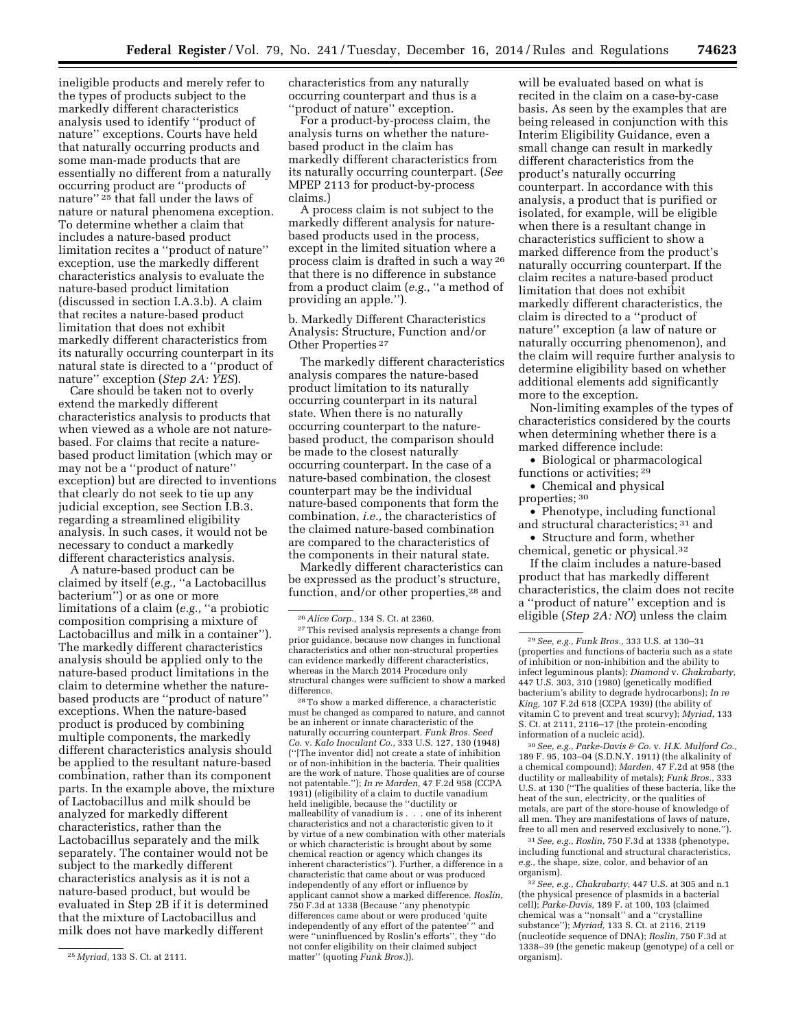ineligible products and merely refer to the types of products subject to the markedly different characteristics analysis used to identify ''product of nature'' exceptions. Courts have held that naturally occurring products and some man-made products that are essentially no different from a naturally occurring product are ''products of nature'' 25 that fall under the laws of nature or natural phenomena exception. To determine whether a claim that includes a nature-based product limitation recites a ''product of nature'' exception, use the markedly different characteristics analysis to evaluate the nature-based product limitation (discussed in section I.A.3.b). A claim that recites a nature-based product limitation that does not exhibit markedly different characteristics from its naturally occurring counterpart in its natural state is directed to a ''product of nature'' exception (*Step 2A: YES*).

Care should be taken not to overly extend the markedly different characteristics analysis to products that when viewed as a whole are not naturebased. For claims that recite a naturebased product limitation (which may or may not be a ''product of nature'' exception) but are directed to inventions that clearly do not seek to tie up any judicial exception, see Section I.B.3. regarding a streamlined eligibility analysis. In such cases, it would not be necessary to conduct a markedly different characteristics analysis.

A nature-based product can be claimed by itself (*e.g.,* ''a Lactobacillus bacterium'') or as one or more limitations of a claim (*e.g.,* ''a probiotic composition comprising a mixture of Lactobacillus and milk in a container''). The markedly different characteristics analysis should be applied only to the nature-based product limitations in the claim to determine whether the naturebased products are ''product of nature'' exceptions. When the nature-based product is produced by combining multiple components, the markedly different characteristics analysis should be applied to the resultant nature-based combination, rather than its component parts. In the example above, the mixture of Lactobacillus and milk should be analyzed for markedly different characteristics, rather than the Lactobacillus separately and the milk separately. The container would not be subject to the markedly different characteristics analysis as it is not a nature-based product, but would be evaluated in Step 2B if it is determined that the mixture of Lactobacillus and milk does not have markedly different

characteristics from any naturally occurring counterpart and thus is a 'product of nature'' exception.

For a product-by-process claim, the analysis turns on whether the naturebased product in the claim has markedly different characteristics from its naturally occurring counterpart. (*See*  MPEP 2113 for product-by-process claims.)

A process claim is not subject to the markedly different analysis for naturebased products used in the process, except in the limited situation where a process claim is drafted in such a way 26 that there is no difference in substance from a product claim (*e.g.,* ''a method of providing an apple.'').

b. Markedly Different Characteristics Analysis: Structure, Function and/or Other Properties 27

The markedly different characteristics analysis compares the nature-based product limitation to its naturally occurring counterpart in its natural state. When there is no naturally occurring counterpart to the naturebased product, the comparison should be made to the closest naturally occurring counterpart. In the case of a nature-based combination, the closest counterpart may be the individual nature-based components that form the combination, *i.e.,* the characteristics of the claimed nature-based combination are compared to the characteristics of the components in their natural state.

Markedly different characteristics can be expressed as the product's structure, function, and/or other properties,<sup>28</sup> and

 $^{\rm 28}\rm{To}$  show a marked difference, a characteristic must be changed as compared to nature, and cannot be an inherent or innate characteristic of the naturally occurring counterpart. *Funk Bros. Seed Co.* v. *Kalo Inoculant Co.,* 333 U.S. 127, 130 (1948) (''[The inventor did] not create a state of inhibition or of non-inhibition in the bacteria. Their qualities are the work of nature. Those qualities are of course not patentable.''); *In re Marden,* 47 F.2d 958 (CCPA 1931) (eligibility of a claim to ductile vanadium held ineligible, because the ''ductility or malleability of vanadium is . . . one of its inherent characteristics and not a characteristic given to it by virtue of a new combination with other materials or which characteristic is brought about by some chemical reaction or agency which changes its inherent characteristics''). Further, a difference in a characteristic that came about or was produced independently of any effort or influence by applicant cannot show a marked difference. *Roslin,*  750 F.3d at 1338 (Because ''any phenotypic differences came about or were produced 'quite<br>independently of any effort of the patentee''' and independently of any effort of the patentee' were ''uninfluenced by Roslin's efforts'', they ''do not confer eligibility on their claimed subject matter'' (quoting *Funk Bros.*)).

will be evaluated based on what is recited in the claim on a case-by-case basis. As seen by the examples that are being released in conjunction with this Interim Eligibility Guidance, even a small change can result in markedly different characteristics from the product's naturally occurring counterpart. In accordance with this analysis, a product that is purified or isolated, for example, will be eligible when there is a resultant change in characteristics sufficient to show a marked difference from the product's naturally occurring counterpart. If the claim recites a nature-based product limitation that does not exhibit markedly different characteristics, the claim is directed to a ''product of nature'' exception (a law of nature or naturally occurring phenomenon), and the claim will require further analysis to determine eligibility based on whether additional elements add significantly more to the exception.

Non-limiting examples of the types of characteristics considered by the courts when determining whether there is a marked difference include:

• Biological or pharmacological functions or activities; <sup>29</sup>

• Chemical and physical properties; 30

- Phenotype, including functional and structural characteristics; 31 and
- Structure and form, whether chemical, genetic or physical.32

If the claim includes a nature-based product that has markedly different characteristics, the claim does not recite a ''product of nature'' exception and is eligible (*Step 2A: NO*) unless the claim

30*See, e.g., Parke-Davis & Co.* v. *H.K. Mulford Co.,*  189 F. 95, 103–04 (S.D.N.Y. 1911) (the alkalinity of a chemical compound); *Marden,* 47 F.2d at 958 (the ductility or malleability of metals); *Funk Bros.,* 333 U.S. at 130 (''The qualities of these bacteria, like the heat of the sun, electricity, or the qualities of metals, are part of the store-house of knowledge of all men. They are manifestations of laws of nature, free to all men and reserved exclusively to none.'').

31*See, e.g., Roslin,* 750 F.3d at 1338 (phenotype, including functional and structural characteristics, *e.g.,* the shape, size, color, and behavior of an organism).

32*See, e.g., Chakrabarty,* 447 U.S. at 305 and n.1 (the physical presence of plasmids in a bacterial cell); *Parke-Davis,* 189 F. at 100, 103 (claimed chemical was a ''nonsalt'' and a ''crystalline substance''); *Myriad,* 133 S. Ct. at 2116, 2119 (nucleotide sequence of DNA); *Roslin,* 750 F.3d at 1338–39 (the genetic makeup (genotype) of a cell or organism).

<sup>25</sup> *Myriad,* 133 S. Ct. at 2111.

<sup>26</sup>*Alice Corp.,* 134 S. Ct. at 2360. 27This revised analysis represents a change from prior guidance, because now changes in functional characteristics and other non-structural properties can evidence markedly different characteristics, whereas in the March 2014 Procedure only structural changes were sufficient to show a marked

<sup>29</sup>*See, e.g., Funk Bros.,* 333 U.S. at 130–31 (properties and functions of bacteria such as a state of inhibition or non-inhibition and the ability to infect leguminous plants); *Diamond* v. *Chakrabarty,*  447 U.S. 303, 310 (1980) (genetically modified bacterium's ability to degrade hydrocarbons); *In re King,* 107 F.2d 618 (CCPA 1939) (the ability of vitamin C to prevent and treat scurvy); *Myriad,* 133 S. Ct. at 2111, 2116–17 (the protein-encoding information of a nucleic acid).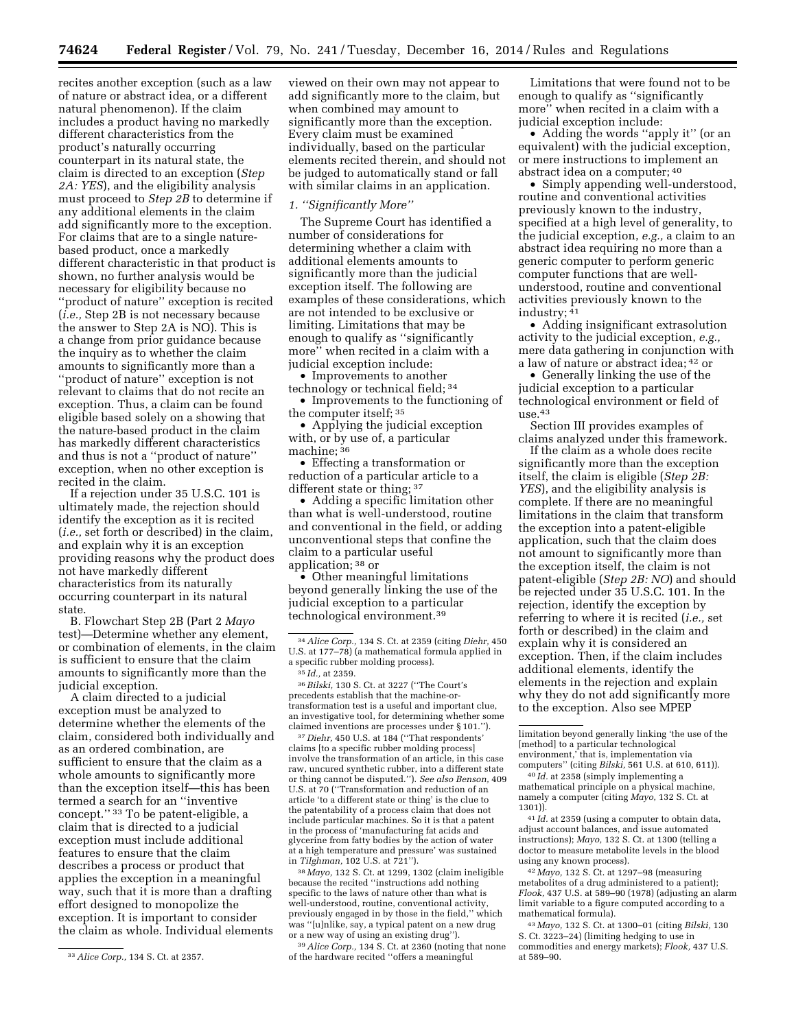recites another exception (such as a law of nature or abstract idea, or a different natural phenomenon). If the claim includes a product having no markedly different characteristics from the product's naturally occurring counterpart in its natural state, the claim is directed to an exception (*Step 2A: YES*), and the eligibility analysis must proceed to *Step 2B* to determine if any additional elements in the claim add significantly more to the exception. For claims that are to a single naturebased product, once a markedly different characteristic in that product is shown, no further analysis would be necessary for eligibility because no ''product of nature'' exception is recited (*i.e.,* Step 2B is not necessary because the answer to Step 2A is NO). This is a change from prior guidance because the inquiry as to whether the claim amounts to significantly more than a ''product of nature'' exception is not relevant to claims that do not recite an exception. Thus, a claim can be found eligible based solely on a showing that the nature-based product in the claim has markedly different characteristics and thus is not a ''product of nature'' exception, when no other exception is recited in the claim.

If a rejection under 35 U.S.C. 101 is ultimately made, the rejection should identify the exception as it is recited (*i.e.,* set forth or described) in the claim, and explain why it is an exception providing reasons why the product does not have markedly different characteristics from its naturally occurring counterpart in its natural state.

B. Flowchart Step 2B (Part 2 *Mayo*  test)—Determine whether any element, or combination of elements, in the claim is sufficient to ensure that the claim amounts to significantly more than the judicial exception.

A claim directed to a judicial exception must be analyzed to determine whether the elements of the claim, considered both individually and as an ordered combination, are sufficient to ensure that the claim as a whole amounts to significantly more than the exception itself—this has been termed a search for an ''inventive concept.'' 33 To be patent-eligible, a claim that is directed to a judicial exception must include additional features to ensure that the claim describes a process or product that applies the exception in a meaningful way, such that it is more than a drafting effort designed to monopolize the exception. It is important to consider the claim as whole. Individual elements

viewed on their own may not appear to add significantly more to the claim, but when combined may amount to significantly more than the exception. Every claim must be examined individually, based on the particular elements recited therein, and should not be judged to automatically stand or fall with similar claims in an application.

#### *1. ''Significantly More''*

The Supreme Court has identified a number of considerations for determining whether a claim with additional elements amounts to significantly more than the judicial exception itself. The following are examples of these considerations, which are not intended to be exclusive or limiting. Limitations that may be enough to qualify as ''significantly more'' when recited in a claim with a judicial exception include:

• Improvements to another technology or technical field; 34

• Improvements to the functioning of the computer itself; 35

• Applying the judicial exception with, or by use of, a particular machine; 36

• Effecting a transformation or reduction of a particular article to a different state or thing; 37

• Adding a specific limitation other than what is well-understood, routine and conventional in the field, or adding unconventional steps that confine the claim to a particular useful application; 38 or

• Other meaningful limitations beyond generally linking the use of the judicial exception to a particular technological environment.39

36*Bilski,* 130 S. Ct. at 3227 (''The Court's precedents establish that the machine-ortransformation test is a useful and important clue, an investigative tool, for determining whether some claimed inventions are processes under § 101.'').

37 *Diehr,* 450 U.S. at 184 (''That respondents' claims [to a specific rubber molding process] involve the transformation of an article, in this case raw, uncured synthetic rubber, into a different state or thing cannot be disputed.''). *See also Benson,* 409 U.S. at 70 (''Transformation and reduction of an article 'to a different state or thing' is the clue to the patentability of a process claim that does not include particular machines. So it is that a patent in the process of 'manufacturing fat acids and glycerine from fatty bodies by the action of water at a high temperature and pressure' was sustained in *Tilghman,* 102 U.S. at 721'').

38 *Mayo,* 132 S. Ct. at 1299, 1302 (claim ineligible because the recited ''instructions add nothing specific to the laws of nature other than what is well-understood, routine, conventional activity, previously engaged in by those in the field,'' which was ''[u]nlike, say, a typical patent on a new drug or a new way of using an existing drug'').

39*Alice Corp.,* 134 S. Ct. at 2360 (noting that none of the hardware recited ''offers a meaningful

Limitations that were found not to be enough to qualify as ''significantly more'' when recited in a claim with a judicial exception include:

• Adding the words "apply it" (or an equivalent) with the judicial exception, or mere instructions to implement an abstract idea on a computer; 40

• Simply appending well-understood, routine and conventional activities previously known to the industry, specified at a high level of generality, to the judicial exception, *e.g.,* a claim to an abstract idea requiring no more than a generic computer to perform generic computer functions that are wellunderstood, routine and conventional activities previously known to the industry;  $41$ 

• Adding insignificant extrasolution activity to the judicial exception, *e.g.,*  mere data gathering in conjunction with a law of nature or abstract idea; 42 or

• Generally linking the use of the judicial exception to a particular technological environment or field of use.43

Section III provides examples of claims analyzed under this framework.

If the claim as a whole does recite significantly more than the exception itself, the claim is eligible (*Step 2B: YES*), and the eligibility analysis is complete. If there are no meaningful limitations in the claim that transform the exception into a patent-eligible application, such that the claim does not amount to significantly more than the exception itself, the claim is not patent-eligible (*Step 2B: NO*) and should be rejected under 35 U.S.C. 101. In the rejection, identify the exception by referring to where it is recited (*i.e.,* set forth or described) in the claim and explain why it is considered an exception. Then, if the claim includes additional elements, identify the elements in the rejection and explain why they do not add significantly more to the exception. Also see MPEP

40 *Id.* at 2358 (simply implementing a mathematical principle on a physical machine, namely a computer (citing *Mayo,* 132 S. Ct. at 1301)).

41 *Id.* at 2359 (using a computer to obtain data, adjust account balances, and issue automated instructions); *Mayo,* 132 S. Ct. at 1300 (telling a doctor to measure metabolite levels in the blood using any known process).

42 *Mayo,* 132 S. Ct. at 1297–98 (measuring metabolites of a drug administered to a patient); *Flook,* 437 U.S. at 589–90 (1978) (adjusting an alarm limit variable to a figure computed according to a mathematical formula).

43 *Mayo,* 132 S. Ct. at 1300–01 (citing *Bilski,* 130 S. Ct. 3223–24) (limiting hedging to use in commodities and energy markets); *Flook,* 437 U.S. at 589–90.

<sup>33</sup>*Alice Corp.,* 134 S. Ct. at 2357.

<sup>34</sup>*Alice Corp.,* 134 S. Ct. at 2359 (citing *Diehr,* 450 U.S. at 177–78) (a mathematical formula applied in a specific rubber molding process).

<sup>35</sup> *Id.,* at 2359.

limitation beyond generally linking 'the use of the [method] to a particular technological environment,' that is, implementation via computers'' (citing *Bilski,* 561 U.S. at 610, 611)).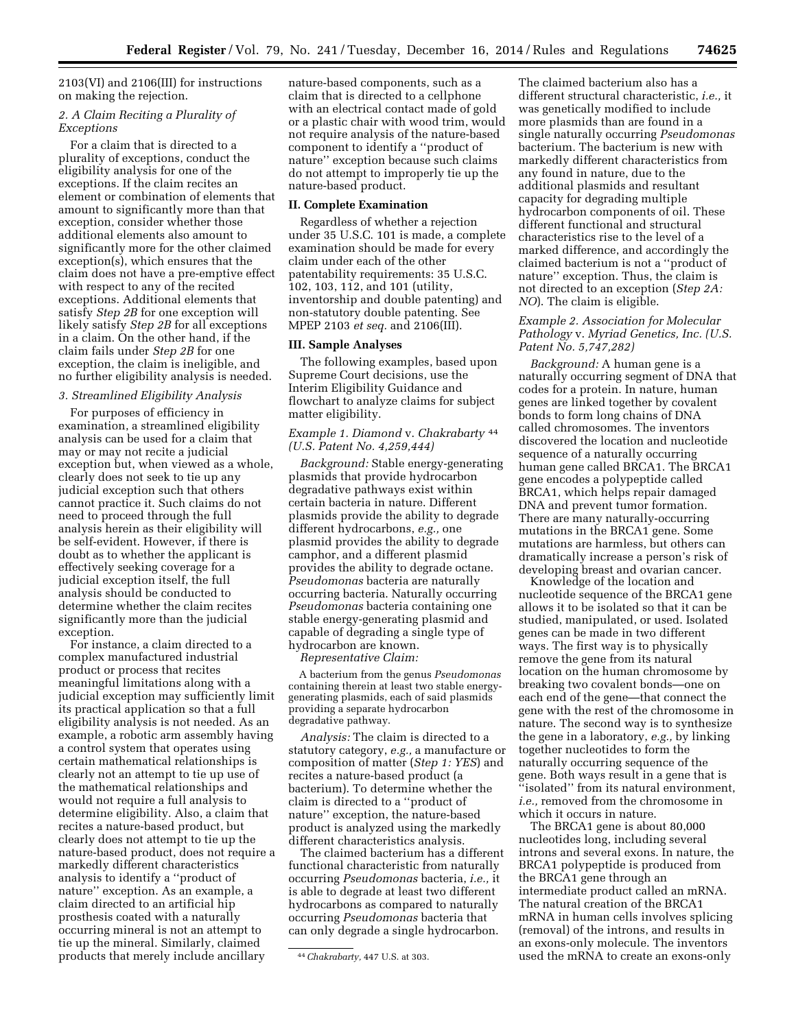2103(VI) and 2106(III) for instructions on making the rejection.

# *2. A Claim Reciting a Plurality of Exceptions*

For a claim that is directed to a plurality of exceptions, conduct the eligibility analysis for one of the exceptions. If the claim recites an element or combination of elements that amount to significantly more than that exception, consider whether those additional elements also amount to significantly more for the other claimed exception(s), which ensures that the claim does not have a pre-emptive effect with respect to any of the recited exceptions. Additional elements that satisfy *Step 2B* for one exception will likely satisfy *Step 2B* for all exceptions in a claim. On the other hand, if the claim fails under *Step 2B* for one exception, the claim is ineligible, and no further eligibility analysis is needed.

### *3. Streamlined Eligibility Analysis*

For purposes of efficiency in examination, a streamlined eligibility analysis can be used for a claim that may or may not recite a judicial exception but, when viewed as a whole, clearly does not seek to tie up any judicial exception such that others cannot practice it. Such claims do not need to proceed through the full analysis herein as their eligibility will be self-evident. However, if there is doubt as to whether the applicant is effectively seeking coverage for a judicial exception itself, the full analysis should be conducted to determine whether the claim recites significantly more than the judicial exception.

For instance, a claim directed to a complex manufactured industrial product or process that recites meaningful limitations along with a judicial exception may sufficiently limit its practical application so that a full eligibility analysis is not needed. As an example, a robotic arm assembly having a control system that operates using certain mathematical relationships is clearly not an attempt to tie up use of the mathematical relationships and would not require a full analysis to determine eligibility. Also, a claim that recites a nature-based product, but clearly does not attempt to tie up the nature-based product, does not require a markedly different characteristics analysis to identify a ''product of nature'' exception. As an example, a claim directed to an artificial hip prosthesis coated with a naturally occurring mineral is not an attempt to tie up the mineral. Similarly, claimed products that merely include ancillary

nature-based components, such as a claim that is directed to a cellphone with an electrical contact made of gold or a plastic chair with wood trim, would not require analysis of the nature-based component to identify a ''product of nature'' exception because such claims do not attempt to improperly tie up the nature-based product.

### **II. Complete Examination**

Regardless of whether a rejection under 35 U.S.C. 101 is made, a complete examination should be made for every claim under each of the other patentability requirements: 35 U.S.C. 102, 103, 112, and 101 (utility, inventorship and double patenting) and non-statutory double patenting. See MPEP 2103 *et seq.* and 2106(III).

#### **III. Sample Analyses**

The following examples, based upon Supreme Court decisions, use the Interim Eligibility Guidance and flowchart to analyze claims for subject matter eligibility.

# *Example 1. Diamond* v. *Chakrabarty* 44 *(U.S. Patent No. 4,259,444)*

*Background:* Stable energy-generating plasmids that provide hydrocarbon degradative pathways exist within certain bacteria in nature. Different plasmids provide the ability to degrade different hydrocarbons, *e.g.,* one plasmid provides the ability to degrade camphor, and a different plasmid provides the ability to degrade octane. *Pseudomonas* bacteria are naturally occurring bacteria. Naturally occurring *Pseudomonas* bacteria containing one stable energy-generating plasmid and capable of degrading a single type of hydrocarbon are known.

*Representative Claim:* 

A bacterium from the genus *Pseudomonas*  containing therein at least two stable energygenerating plasmids, each of said plasmids providing a separate hydrocarbon degradative pathway.

*Analysis:* The claim is directed to a statutory category, *e.g.,* a manufacture or composition of matter (*Step 1: YES*) and recites a nature-based product (a bacterium). To determine whether the claim is directed to a ''product of nature'' exception, the nature-based product is analyzed using the markedly different characteristics analysis.

The claimed bacterium has a different functional characteristic from naturally occurring *Pseudomonas* bacteria, *i.e.,* it is able to degrade at least two different hydrocarbons as compared to naturally occurring *Pseudomonas* bacteria that can only degrade a single hydrocarbon.

The claimed bacterium also has a different structural characteristic, *i.e.,* it was genetically modified to include more plasmids than are found in a single naturally occurring *Pseudomonas*  bacterium. The bacterium is new with markedly different characteristics from any found in nature, due to the additional plasmids and resultant capacity for degrading multiple hydrocarbon components of oil. These different functional and structural characteristics rise to the level of a marked difference, and accordingly the claimed bacterium is not a ''product of nature'' exception. Thus, the claim is not directed to an exception (*Step 2A: NO*). The claim is eligible.

# *Example 2. Association for Molecular Pathology* v. *Myriad Genetics, Inc. (U.S. Patent No. 5,747,282)*

*Background:* A human gene is a naturally occurring segment of DNA that codes for a protein. In nature, human genes are linked together by covalent bonds to form long chains of DNA called chromosomes. The inventors discovered the location and nucleotide sequence of a naturally occurring human gene called BRCA1. The BRCA1 gene encodes a polypeptide called BRCA1, which helps repair damaged DNA and prevent tumor formation. There are many naturally-occurring mutations in the BRCA1 gene. Some mutations are harmless, but others can dramatically increase a person's risk of developing breast and ovarian cancer.

Knowledge of the location and nucleotide sequence of the BRCA1 gene allows it to be isolated so that it can be studied, manipulated, or used. Isolated genes can be made in two different ways. The first way is to physically remove the gene from its natural location on the human chromosome by breaking two covalent bonds—one on each end of the gene—that connect the gene with the rest of the chromosome in nature. The second way is to synthesize the gene in a laboratory, *e.g.,* by linking together nucleotides to form the naturally occurring sequence of the gene. Both ways result in a gene that is ''isolated'' from its natural environment, *i.e.,* removed from the chromosome in which it occurs in nature.

The BRCA1 gene is about 80,000 nucleotides long, including several introns and several exons. In nature, the BRCA1 polypeptide is produced from the BRCA1 gene through an intermediate product called an mRNA. The natural creation of the BRCA1 mRNA in human cells involves splicing (removal) of the introns, and results in an exons-only molecule. The inventors used the mRNA to create an exons-only

<sup>44</sup>*Chakrabarty,* 447 U.S. at 303.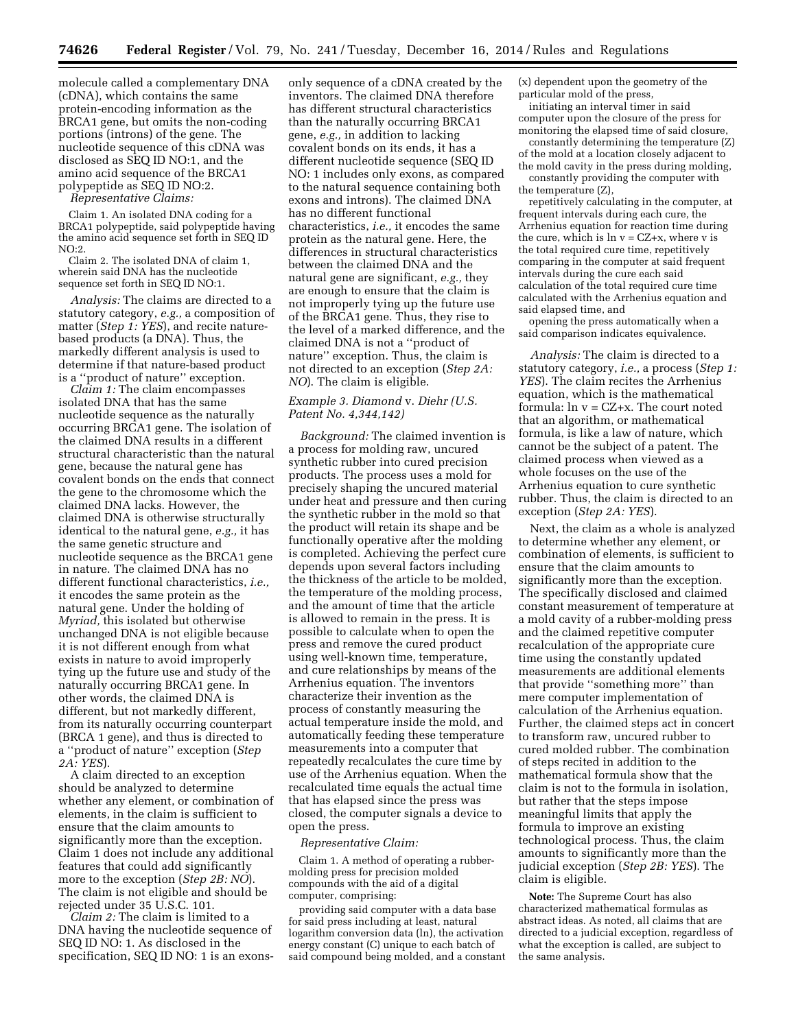molecule called a complementary DNA (cDNA), which contains the same protein-encoding information as the BRCA1 gene, but omits the non-coding portions (introns) of the gene. The nucleotide sequence of this cDNA was disclosed as SEQ ID NO:1, and the amino acid sequence of the BRCA1 polypeptide as SEQ ID NO:2.

*Representative Claims:* 

Claim 1. An isolated DNA coding for a BRCA1 polypeptide, said polypeptide having the amino acid sequence set forth in SEQ ID NO:2.

Claim 2. The isolated DNA of claim 1, wherein said DNA has the nucleotide sequence set forth in SEQ ID NO:1.

*Analysis:* The claims are directed to a statutory category, *e.g.,* a composition of matter (*Step 1: YES*), and recite naturebased products (a DNA). Thus, the markedly different analysis is used to determine if that nature-based product is a ''product of nature'' exception.

*Claim 1:* The claim encompasses isolated DNA that has the same nucleotide sequence as the naturally occurring BRCA1 gene. The isolation of the claimed DNA results in a different structural characteristic than the natural gene, because the natural gene has covalent bonds on the ends that connect the gene to the chromosome which the claimed DNA lacks. However, the claimed DNA is otherwise structurally identical to the natural gene, *e.g.,* it has the same genetic structure and nucleotide sequence as the BRCA1 gene in nature. The claimed DNA has no different functional characteristics, *i.e.,*  it encodes the same protein as the natural gene. Under the holding of *Myriad,* this isolated but otherwise unchanged DNA is not eligible because it is not different enough from what exists in nature to avoid improperly tying up the future use and study of the naturally occurring BRCA1 gene. In other words, the claimed DNA is different, but not markedly different, from its naturally occurring counterpart (BRCA 1 gene), and thus is directed to a ''product of nature'' exception (*Step 2A: YES*).

A claim directed to an exception should be analyzed to determine whether any element, or combination of elements, in the claim is sufficient to ensure that the claim amounts to significantly more than the exception. Claim 1 does not include any additional features that could add significantly more to the exception (*Step 2B: NO*). The claim is not eligible and should be rejected under 35 U.S.C. 101.

*Claim 2:* The claim is limited to a DNA having the nucleotide sequence of SEQ ID NO: 1. As disclosed in the specification, SEQ ID NO: 1 is an exons-

only sequence of a cDNA created by the inventors. The claimed DNA therefore has different structural characteristics than the naturally occurring BRCA1 gene, *e.g.,* in addition to lacking covalent bonds on its ends, it has a different nucleotide sequence (SEQ ID NO: 1 includes only exons, as compared to the natural sequence containing both exons and introns). The claimed DNA has no different functional characteristics, *i.e.,* it encodes the same protein as the natural gene. Here, the differences in structural characteristics between the claimed DNA and the natural gene are significant, *e.g.,* they are enough to ensure that the claim is not improperly tying up the future use of the BRCA1 gene. Thus, they rise to the level of a marked difference, and the claimed DNA is not a ''product of nature'' exception. Thus, the claim is not directed to an exception (*Step 2A: NO*). The claim is eligible.

### *Example 3. Diamond* v. *Diehr (U.S. Patent No. 4,344,142)*

*Background:* The claimed invention is a process for molding raw, uncured synthetic rubber into cured precision products. The process uses a mold for precisely shaping the uncured material under heat and pressure and then curing the synthetic rubber in the mold so that the product will retain its shape and be functionally operative after the molding is completed. Achieving the perfect cure depends upon several factors including the thickness of the article to be molded, the temperature of the molding process, and the amount of time that the article is allowed to remain in the press. It is possible to calculate when to open the press and remove the cured product using well-known time, temperature, and cure relationships by means of the Arrhenius equation. The inventors characterize their invention as the process of constantly measuring the actual temperature inside the mold, and automatically feeding these temperature measurements into a computer that repeatedly recalculates the cure time by use of the Arrhenius equation. When the recalculated time equals the actual time that has elapsed since the press was closed, the computer signals a device to open the press.

#### *Representative Claim:*

Claim 1. A method of operating a rubbermolding press for precision molded compounds with the aid of a digital computer, comprising:

providing said computer with a data base for said press including at least, natural logarithm conversion data (ln), the activation energy constant (C) unique to each batch of said compound being molded, and a constant (x) dependent upon the geometry of the particular mold of the press,

initiating an interval timer in said computer upon the closure of the press for monitoring the elapsed time of said closure,

constantly determining the temperature (Z) of the mold at a location closely adjacent to the mold cavity in the press during molding,

constantly providing the computer with the temperature (Z),

repetitively calculating in the computer, at frequent intervals during each cure, the Arrhenius equation for reaction time during the cure, which is  $\ln v = CZ +x$ , where v is the total required cure time, repetitively comparing in the computer at said frequent intervals during the cure each said calculation of the total required cure time calculated with the Arrhenius equation and said elapsed time, and

opening the press automatically when a said comparison indicates equivalence.

*Analysis:* The claim is directed to a statutory category, *i.e.,* a process (*Step 1: YES*). The claim recites the Arrhenius equation, which is the mathematical formula: ln v = CZ+x. The court noted that an algorithm, or mathematical formula, is like a law of nature, which cannot be the subject of a patent. The claimed process when viewed as a whole focuses on the use of the Arrhenius equation to cure synthetic rubber. Thus, the claim is directed to an exception (*Step 2A: YES*).

Next, the claim as a whole is analyzed to determine whether any element, or combination of elements, is sufficient to ensure that the claim amounts to significantly more than the exception. The specifically disclosed and claimed constant measurement of temperature at a mold cavity of a rubber-molding press and the claimed repetitive computer recalculation of the appropriate cure time using the constantly updated measurements are additional elements that provide ''something more'' than mere computer implementation of calculation of the Arrhenius equation. Further, the claimed steps act in concert to transform raw, uncured rubber to cured molded rubber. The combination of steps recited in addition to the mathematical formula show that the claim is not to the formula in isolation, but rather that the steps impose meaningful limits that apply the formula to improve an existing technological process. Thus, the claim amounts to significantly more than the judicial exception (*Step 2B: YES*). The claim is eligible.

**Note:** The Supreme Court has also characterized mathematical formulas as abstract ideas. As noted, all claims that are directed to a judicial exception, regardless of what the exception is called, are subject to the same analysis.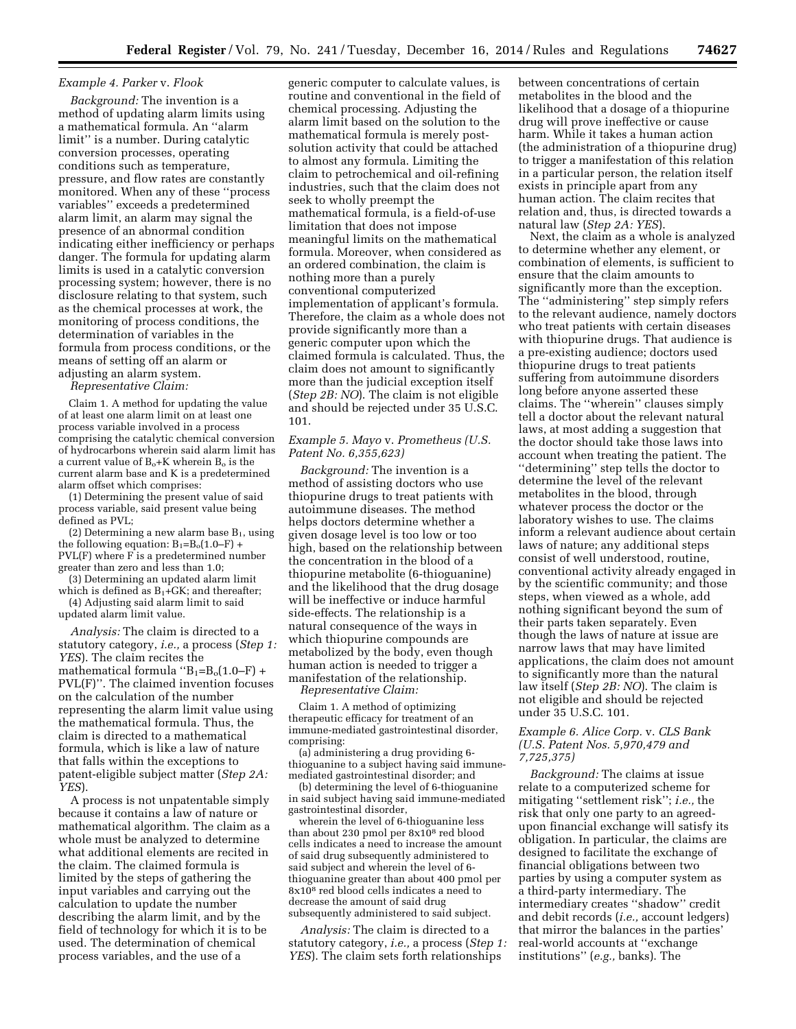#### *Example 4. Parker* v. *Flook*

*Background:* The invention is a method of updating alarm limits using a mathematical formula. An ''alarm limit'' is a number. During catalytic conversion processes, operating conditions such as temperature, pressure, and flow rates are constantly monitored. When any of these ''process variables'' exceeds a predetermined alarm limit, an alarm may signal the presence of an abnormal condition indicating either inefficiency or perhaps danger. The formula for updating alarm limits is used in a catalytic conversion processing system; however, there is no disclosure relating to that system, such as the chemical processes at work, the monitoring of process conditions, the determination of variables in the formula from process conditions, or the means of setting off an alarm or adjusting an alarm system.

*Representative Claim:* 

Claim 1. A method for updating the value of at least one alarm limit on at least one process variable involved in a process comprising the catalytic chemical conversion of hydrocarbons wherein said alarm limit has a current value of  $B_0+K$  wherein  $B_0$  is the current alarm base and K is a predetermined alarm offset which comprises:

(1) Determining the present value of said process variable, said present value being defined as PVL;

(2) Determining a new alarm base  $B_1$ , using the following equation:  $B_1=B_0(1.0-F)$  + PVL(F) where F is a predetermined number greater than zero and less than 1.0;

(3) Determining an updated alarm limit which is defined as  $B_1 + GK$ ; and thereafter; (4) Adjusting said alarm limit to said

updated alarm limit value.

*Analysis:* The claim is directed to a statutory category, *i.e.,* a process (*Step 1: YES*). The claim recites the mathematical formula " $B_1=B_0(1.0-F)$  + PVL(F)''. The claimed invention focuses on the calculation of the number representing the alarm limit value using the mathematical formula. Thus, the claim is directed to a mathematical formula, which is like a law of nature that falls within the exceptions to patent-eligible subject matter (*Step 2A: YES*).

A process is not unpatentable simply because it contains a law of nature or mathematical algorithm. The claim as a whole must be analyzed to determine what additional elements are recited in the claim. The claimed formula is limited by the steps of gathering the input variables and carrying out the calculation to update the number describing the alarm limit, and by the field of technology for which it is to be used. The determination of chemical process variables, and the use of a

generic computer to calculate values, is routine and conventional in the field of chemical processing. Adjusting the alarm limit based on the solution to the mathematical formula is merely postsolution activity that could be attached to almost any formula. Limiting the claim to petrochemical and oil-refining industries, such that the claim does not seek to wholly preempt the mathematical formula, is a field-of-use limitation that does not impose meaningful limits on the mathematical formula. Moreover, when considered as an ordered combination, the claim is nothing more than a purely conventional computerized implementation of applicant's formula. Therefore, the claim as a whole does not provide significantly more than a generic computer upon which the claimed formula is calculated. Thus, the claim does not amount to significantly more than the judicial exception itself (*Step 2B: NO*). The claim is not eligible and should be rejected under 35 U.S.C. 101.

# *Example 5. Mayo* v. *Prometheus (U.S. Patent No. 6,355,623)*

*Background:* The invention is a method of assisting doctors who use thiopurine drugs to treat patients with autoimmune diseases. The method helps doctors determine whether a given dosage level is too low or too high, based on the relationship between the concentration in the blood of a thiopurine metabolite (6-thioguanine) and the likelihood that the drug dosage will be ineffective or induce harmful side-effects. The relationship is a natural consequence of the ways in which thiopurine compounds are metabolized by the body, even though human action is needed to trigger a manifestation of the relationship. *Representative Claim:* 

Claim 1. A method of optimizing therapeutic efficacy for treatment of an immune-mediated gastrointestinal disorder, comprising:

(a) administering a drug providing 6 thioguanine to a subject having said immunemediated gastrointestinal disorder; and

(b) determining the level of 6-thioguanine in said subject having said immune-mediated gastrointestinal disorder,

wherein the level of 6-thioguanine less than about 230 pmol per 8x108 red blood cells indicates a need to increase the amount of said drug subsequently administered to said subject and wherein the level of 6 thioguanine greater than about 400 pmol per 8x108 red blood cells indicates a need to decrease the amount of said drug subsequently administered to said subject.

*Analysis:* The claim is directed to a statutory category, *i.e.,* a process (*Step 1: YES*). The claim sets forth relationships

between concentrations of certain metabolites in the blood and the likelihood that a dosage of a thiopurine drug will prove ineffective or cause harm. While it takes a human action (the administration of a thiopurine drug) to trigger a manifestation of this relation in a particular person, the relation itself exists in principle apart from any human action. The claim recites that relation and, thus, is directed towards a natural law (*Step 2A: YES*).

Next, the claim as a whole is analyzed to determine whether any element, or combination of elements, is sufficient to ensure that the claim amounts to significantly more than the exception. The ''administering'' step simply refers to the relevant audience, namely doctors who treat patients with certain diseases with thiopurine drugs. That audience is a pre-existing audience; doctors used thiopurine drugs to treat patients suffering from autoimmune disorders long before anyone asserted these claims. The ''wherein'' clauses simply tell a doctor about the relevant natural laws, at most adding a suggestion that the doctor should take those laws into account when treating the patient. The ''determining'' step tells the doctor to determine the level of the relevant metabolites in the blood, through whatever process the doctor or the laboratory wishes to use. The claims inform a relevant audience about certain laws of nature; any additional steps consist of well understood, routine, conventional activity already engaged in by the scientific community; and those steps, when viewed as a whole, add nothing significant beyond the sum of their parts taken separately. Even though the laws of nature at issue are narrow laws that may have limited applications, the claim does not amount to significantly more than the natural law itself (*Step 2B: NO*). The claim is not eligible and should be rejected under 35 U.S.C. 101.

### *Example 6. Alice Corp.* v. *CLS Bank (U.S. Patent Nos. 5,970,479 and 7,725,375)*

*Background:* The claims at issue relate to a computerized scheme for mitigating ''settlement risk''; *i.e.,* the risk that only one party to an agreedupon financial exchange will satisfy its obligation. In particular, the claims are designed to facilitate the exchange of financial obligations between two parties by using a computer system as a third-party intermediary. The intermediary creates ''shadow'' credit and debit records (*i.e.,* account ledgers) that mirror the balances in the parties' real-world accounts at ''exchange institutions'' (*e.g.,* banks). The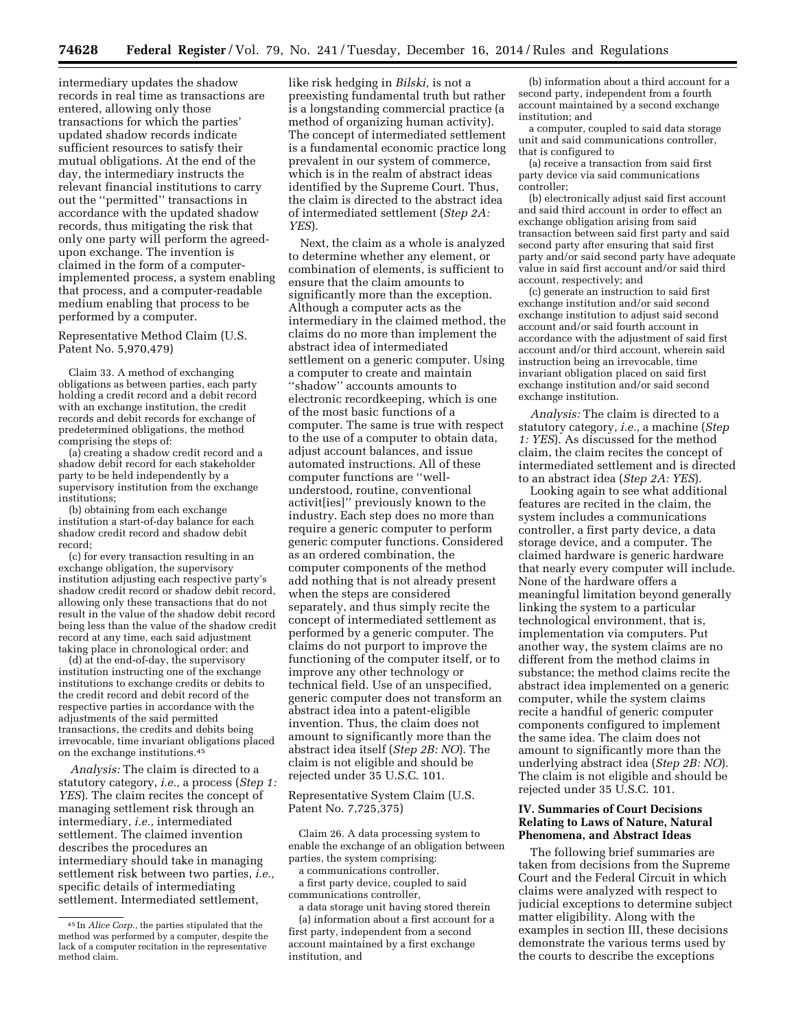intermediary updates the shadow records in real time as transactions are entered, allowing only those transactions for which the parties' updated shadow records indicate sufficient resources to satisfy their mutual obligations. At the end of the day, the intermediary instructs the relevant financial institutions to carry out the ''permitted'' transactions in accordance with the updated shadow records, thus mitigating the risk that only one party will perform the agreedupon exchange. The invention is claimed in the form of a computerimplemented process, a system enabling that process, and a computer-readable medium enabling that process to be performed by a computer.

Representative Method Claim (U.S. Patent No. 5,970,479)

Claim 33. A method of exchanging obligations as between parties, each party holding a credit record and a debit record with an exchange institution, the credit records and debit records for exchange of predetermined obligations, the method comprising the steps of:

(a) creating a shadow credit record and a shadow debit record for each stakeholder party to be held independently by a supervisory institution from the exchange institutions;

(b) obtaining from each exchange institution a start-of-day balance for each shadow credit record and shadow debit record;

(c) for every transaction resulting in an exchange obligation, the supervisory institution adjusting each respective party's shadow credit record or shadow debit record, allowing only these transactions that do not result in the value of the shadow debit record being less than the value of the shadow credit record at any time, each said adjustment taking place in chronological order; and

(d) at the end-of-day, the supervisory institution instructing one of the exchange institutions to exchange credits or debits to the credit record and debit record of the respective parties in accordance with the adjustments of the said permitted transactions, the credits and debits being irrevocable, time invariant obligations placed on the exchange institutions.45

*Analysis:* The claim is directed to a statutory category, *i.e.,* a process (*Step 1: YES*). The claim recites the concept of managing settlement risk through an intermediary, *i.e.,* intermediated settlement. The claimed invention describes the procedures an intermediary should take in managing settlement risk between two parties, *i.e.,*  specific details of intermediating settlement. Intermediated settlement,

like risk hedging in *Bilski,* is not a preexisting fundamental truth but rather is a longstanding commercial practice (a method of organizing human activity). The concept of intermediated settlement is a fundamental economic practice long prevalent in our system of commerce, which is in the realm of abstract ideas identified by the Supreme Court. Thus, the claim is directed to the abstract idea of intermediated settlement (*Step 2A: YES*).

Next, the claim as a whole is analyzed to determine whether any element, or combination of elements, is sufficient to ensure that the claim amounts to significantly more than the exception. Although a computer acts as the intermediary in the claimed method, the claims do no more than implement the abstract idea of intermediated settlement on a generic computer. Using a computer to create and maintain ''shadow'' accounts amounts to electronic recordkeeping, which is one of the most basic functions of a computer. The same is true with respect to the use of a computer to obtain data, adjust account balances, and issue automated instructions. All of these computer functions are ''wellunderstood, routine, conventional activit[ies]'' previously known to the industry. Each step does no more than require a generic computer to perform generic computer functions. Considered as an ordered combination, the computer components of the method add nothing that is not already present when the steps are considered separately, and thus simply recite the concept of intermediated settlement as performed by a generic computer. The claims do not purport to improve the functioning of the computer itself, or to improve any other technology or technical field. Use of an unspecified, generic computer does not transform an abstract idea into a patent-eligible invention. Thus, the claim does not amount to significantly more than the abstract idea itself (*Step 2B: NO*). The claim is not eligible and should be rejected under 35 U.S.C. 101.

Representative System Claim (U.S. Patent No. 7,725,375)

Claim 26. A data processing system to enable the exchange of an obligation between parties, the system comprising: a communications controller,

a first party device, coupled to said communications controller,

a data storage unit having stored therein (a) information about a first account for a first party, independent from a second account maintained by a first exchange institution, and

(b) information about a third account for a second party, independent from a fourth account maintained by a second exchange institution; and

a computer, coupled to said data storage unit and said communications controller, that is configured to

(a) receive a transaction from said first party device via said communications controller;

(b) electronically adjust said first account and said third account in order to effect an exchange obligation arising from said transaction between said first party and said second party after ensuring that said first party and/or said second party have adequate value in said first account and/or said third account, respectively; and

(c) generate an instruction to said first exchange institution and/or said second exchange institution to adjust said second account and/or said fourth account in accordance with the adjustment of said first account and/or third account, wherein said instruction being an irrevocable, time invariant obligation placed on said first exchange institution and/or said second exchange institution.

*Analysis:* The claim is directed to a statutory category, *i.e.,* a machine (*Step 1: YES*). As discussed for the method claim, the claim recites the concept of intermediated settlement and is directed to an abstract idea (*Step 2A: YES*).

Looking again to see what additional features are recited in the claim, the system includes a communications controller, a first party device, a data storage device, and a computer. The claimed hardware is generic hardware that nearly every computer will include. None of the hardware offers a meaningful limitation beyond generally linking the system to a particular technological environment, that is, implementation via computers. Put another way, the system claims are no different from the method claims in substance; the method claims recite the abstract idea implemented on a generic computer, while the system claims recite a handful of generic computer components configured to implement the same idea. The claim does not amount to significantly more than the underlying abstract idea (*Step 2B: NO*). The claim is not eligible and should be rejected under 35 U.S.C. 101.

# **IV. Summaries of Court Decisions Relating to Laws of Nature, Natural Phenomena, and Abstract Ideas**

The following brief summaries are taken from decisions from the Supreme Court and the Federal Circuit in which claims were analyzed with respect to judicial exceptions to determine subject matter eligibility. Along with the examples in section III, these decisions demonstrate the various terms used by the courts to describe the exceptions

<sup>45</sup> In *Alice Corp.,* the parties stipulated that the method was performed by a computer, despite the lack of a computer recitation in the representative method claim.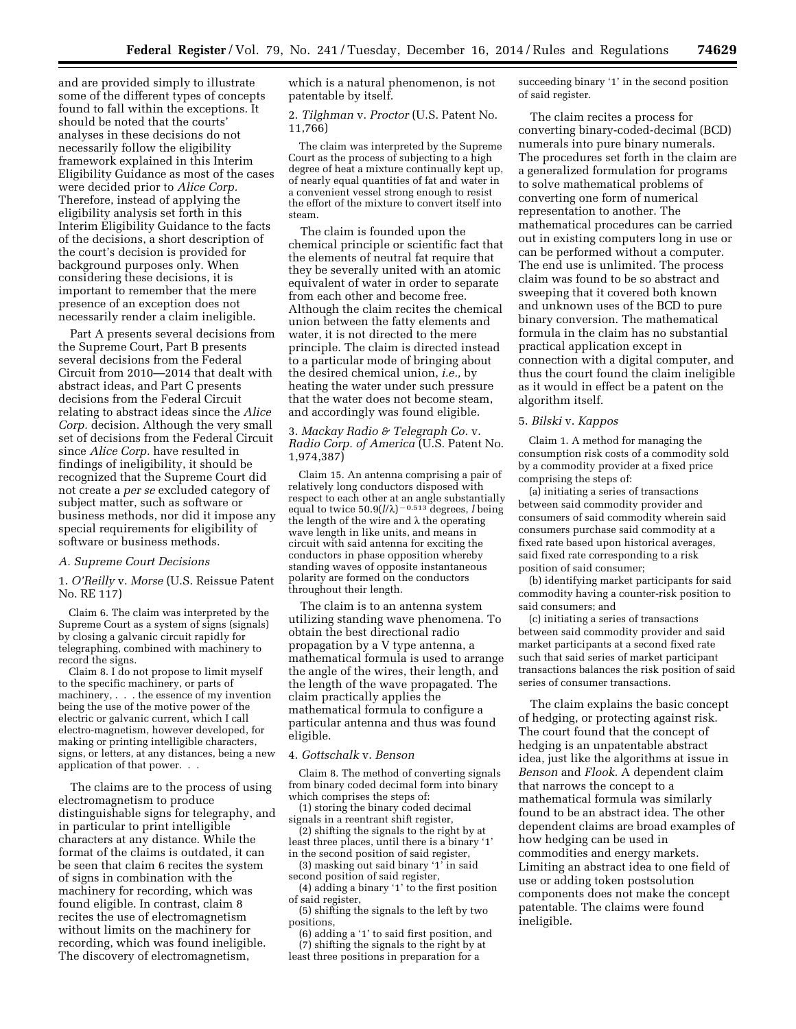and are provided simply to illustrate some of the different types of concepts found to fall within the exceptions. It should be noted that the courts' analyses in these decisions do not necessarily follow the eligibility framework explained in this Interim Eligibility Guidance as most of the cases were decided prior to *Alice Corp.*  Therefore, instead of applying the eligibility analysis set forth in this Interim Eligibility Guidance to the facts of the decisions, a short description of the court's decision is provided for background purposes only. When considering these decisions, it is important to remember that the mere presence of an exception does not necessarily render a claim ineligible.

Part A presents several decisions from the Supreme Court, Part B presents several decisions from the Federal Circuit from 2010—2014 that dealt with abstract ideas, and Part C presents decisions from the Federal Circuit relating to abstract ideas since the *Alice Corp.* decision. Although the very small set of decisions from the Federal Circuit since *Alice Corp.* have resulted in findings of ineligibility, it should be recognized that the Supreme Court did not create a *per se* excluded category of subject matter, such as software or business methods, nor did it impose any special requirements for eligibility of software or business methods.

#### *A. Supreme Court Decisions*

## 1. *O'Reilly* v. *Morse* (U.S. Reissue Patent No. RE 117)

Claim 6. The claim was interpreted by the Supreme Court as a system of signs (signals) by closing a galvanic circuit rapidly for telegraphing, combined with machinery to record the signs.

Claim 8. I do not propose to limit myself to the specific machinery, or parts of machinery, . . . the essence of my invention being the use of the motive power of the electric or galvanic current, which I call electro-magnetism, however developed, for making or printing intelligible characters, signs, or letters, at any distances, being a new application of that power. . .

The claims are to the process of using electromagnetism to produce distinguishable signs for telegraphy, and in particular to print intelligible characters at any distance. While the format of the claims is outdated, it can be seen that claim 6 recites the system of signs in combination with the machinery for recording, which was found eligible. In contrast, claim 8 recites the use of electromagnetism without limits on the machinery for recording, which was found ineligible. The discovery of electromagnetism,

which is a natural phenomenon, is not patentable by itself.

2. *Tilghman* v. *Proctor* (U.S. Patent No. 11,766)

The claim was interpreted by the Supreme Court as the process of subjecting to a high degree of heat a mixture continually kept up, of nearly equal quantities of fat and water in a convenient vessel strong enough to resist the effort of the mixture to convert itself into steam.

The claim is founded upon the chemical principle or scientific fact that the elements of neutral fat require that they be severally united with an atomic equivalent of water in order to separate from each other and become free. Although the claim recites the chemical union between the fatty elements and water, it is not directed to the mere principle. The claim is directed instead to a particular mode of bringing about the desired chemical union, *i.e.,* by heating the water under such pressure that the water does not become steam, and accordingly was found eligible.

3. *Mackay Radio & Telegraph Co.* v. *Radio Corp. of America* (U.S. Patent No. 1,974,387)

Claim 15. An antenna comprising a pair of relatively long conductors disposed with respect to each other at an angle substantially equal to twice  $50.9(l/\lambda)^{-0.513}$  degrees, *l* being the length of the wire and  $\lambda$  the operating wave length in like units, and means in circuit with said antenna for exciting the conductors in phase opposition whereby standing waves of opposite instantaneous polarity are formed on the conductors throughout their length.

The claim is to an antenna system utilizing standing wave phenomena. To obtain the best directional radio propagation by a V type antenna, a mathematical formula is used to arrange the angle of the wires, their length, and the length of the wave propagated. The claim practically applies the mathematical formula to configure a particular antenna and thus was found eligible.

#### 4. *Gottschalk* v. *Benson*

Claim 8. The method of converting signals from binary coded decimal form into binary which comprises the steps of:

(1) storing the binary coded decimal signals in a reentrant shift register,

(2) shifting the signals to the right by at least three places, until there is a binary '1' in the second position of said register,

(3) masking out said binary '1' in said second position of said register,

(4) adding a binary '1' to the first position of said register,

(5) shifting the signals to the left by two positions,

(6) adding a '1' to said first position, and (7) shifting the signals to the right by at least three positions in preparation for a

succeeding binary '1' in the second position of said register.

The claim recites a process for converting binary-coded-decimal (BCD) numerals into pure binary numerals. The procedures set forth in the claim are a generalized formulation for programs to solve mathematical problems of converting one form of numerical representation to another. The mathematical procedures can be carried out in existing computers long in use or can be performed without a computer. The end use is unlimited. The process claim was found to be so abstract and sweeping that it covered both known and unknown uses of the BCD to pure binary conversion. The mathematical formula in the claim has no substantial practical application except in connection with a digital computer, and thus the court found the claim ineligible as it would in effect be a patent on the algorithm itself.

#### 5. *Bilski* v. *Kappos*

Claim 1. A method for managing the consumption risk costs of a commodity sold by a commodity provider at a fixed price comprising the steps of:

(a) initiating a series of transactions between said commodity provider and consumers of said commodity wherein said consumers purchase said commodity at a fixed rate based upon historical averages, said fixed rate corresponding to a risk position of said consumer;

(b) identifying market participants for said commodity having a counter-risk position to said consumers; and

(c) initiating a series of transactions between said commodity provider and said market participants at a second fixed rate such that said series of market participant transactions balances the risk position of said series of consumer transactions.

The claim explains the basic concept of hedging, or protecting against risk. The court found that the concept of hedging is an unpatentable abstract idea, just like the algorithms at issue in *Benson* and *Flook.* A dependent claim that narrows the concept to a mathematical formula was similarly found to be an abstract idea. The other dependent claims are broad examples of how hedging can be used in commodities and energy markets. Limiting an abstract idea to one field of use or adding token postsolution components does not make the concept patentable. The claims were found ineligible.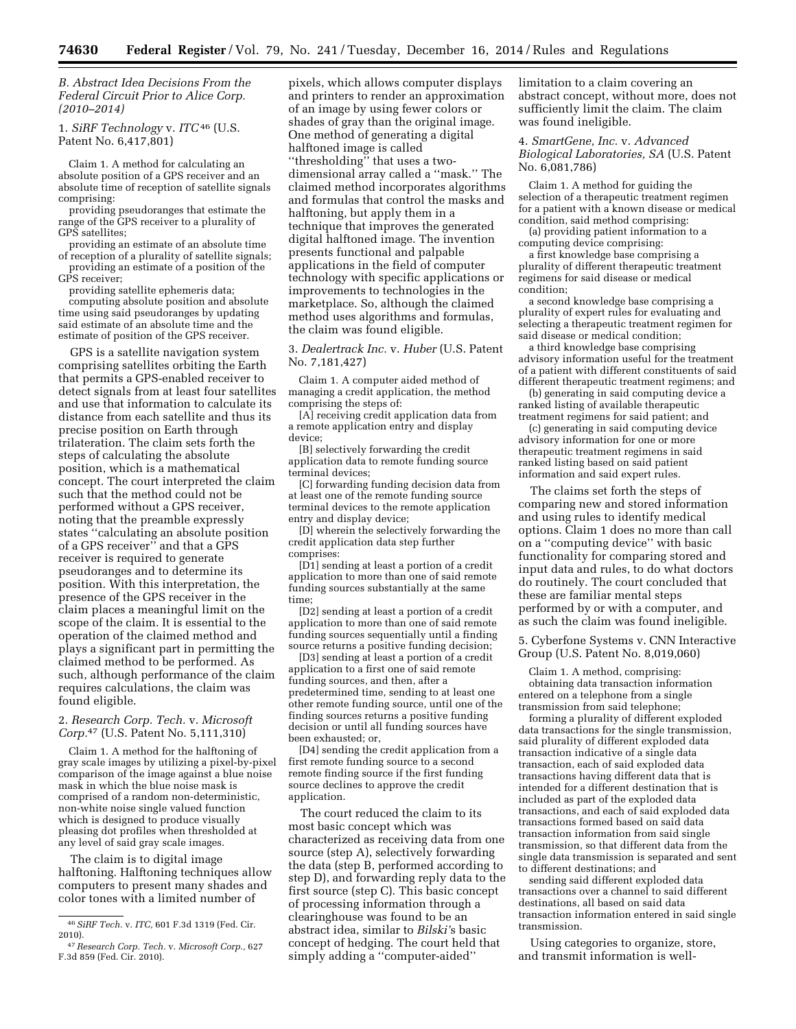*B. Abstract Idea Decisions From the Federal Circuit Prior to Alice Corp. (2010–2014)* 

1. *SiRF Technology* v. *ITC*46 (U.S. Patent No. 6,417,801)

Claim 1. A method for calculating an absolute position of a GPS receiver and an absolute time of reception of satellite signals comprising:

providing pseudoranges that estimate the range of the GPS receiver to a plurality of GPS satellites;

providing an estimate of an absolute time of reception of a plurality of satellite signals;

providing an estimate of a position of the GPS receiver;

providing satellite ephemeris data; computing absolute position and absolute time using said pseudoranges by updating said estimate of an absolute time and the estimate of position of the GPS receiver.

GPS is a satellite navigation system comprising satellites orbiting the Earth that permits a GPS-enabled receiver to detect signals from at least four satellites and use that information to calculate its distance from each satellite and thus its precise position on Earth through trilateration. The claim sets forth the steps of calculating the absolute position, which is a mathematical concept. The court interpreted the claim such that the method could not be performed without a GPS receiver, noting that the preamble expressly states ''calculating an absolute position of a GPS receiver" and that a GPS receiver is required to generate pseudoranges and to determine its position. With this interpretation, the presence of the GPS receiver in the claim places a meaningful limit on the scope of the claim. It is essential to the operation of the claimed method and plays a significant part in permitting the claimed method to be performed. As such, although performance of the claim requires calculations, the claim was found eligible.

# 2. *Research Corp. Tech.* v. *Microsoft Corp.*47 (U.S. Patent No. 5,111,310)

Claim 1. A method for the halftoning of gray scale images by utilizing a pixel-by-pixel comparison of the image against a blue noise mask in which the blue noise mask is comprised of a random non-deterministic, non-white noise single valued function which is designed to produce visually pleasing dot profiles when thresholded at any level of said gray scale images.

The claim is to digital image halftoning. Halftoning techniques allow computers to present many shades and color tones with a limited number of

pixels, which allows computer displays and printers to render an approximation of an image by using fewer colors or shades of gray than the original image. One method of generating a digital halftoned image is called ''thresholding'' that uses a twodimensional array called a ''mask.'' The claimed method incorporates algorithms and formulas that control the masks and halftoning, but apply them in a technique that improves the generated digital halftoned image. The invention presents functional and palpable applications in the field of computer technology with specific applications or improvements to technologies in the marketplace. So, although the claimed method uses algorithms and formulas, the claim was found eligible.

# 3. *Dealertrack Inc.* v. *Huber* (U.S. Patent No. 7,181,427)

Claim 1. A computer aided method of managing a credit application, the method comprising the steps of:

[A] receiving credit application data from a remote application entry and display device;

[B] selectively forwarding the credit application data to remote funding source terminal devices;

[C] forwarding funding decision data from at least one of the remote funding source terminal devices to the remote application entry and display device;

[D] wherein the selectively forwarding the credit application data step further comprises:

[D1] sending at least a portion of a credit application to more than one of said remote funding sources substantially at the same time;

[D2] sending at least a portion of a credit application to more than one of said remote funding sources sequentially until a finding source returns a positive funding decision;

[D3] sending at least a portion of a credit application to a first one of said remote funding sources, and then, after a predetermined time, sending to at least one other remote funding source, until one of the finding sources returns a positive funding decision or until all funding sources have been exhausted; or,

[D4] sending the credit application from a first remote funding source to a second remote finding source if the first funding source declines to approve the credit application.

The court reduced the claim to its most basic concept which was characterized as receiving data from one source (step A), selectively forwarding the data (step B, performed according to step D), and forwarding reply data to the first source (step C). This basic concept of processing information through a clearinghouse was found to be an abstract idea, similar to *Bilski'*s basic concept of hedging. The court held that simply adding a ''computer-aided''

limitation to a claim covering an abstract concept, without more, does not sufficiently limit the claim. The claim was found ineligible.

# 4. *SmartGene, Inc.* v. *Advanced Biological Laboratories, SA* (U.S. Patent No. 6,081,786)

Claim 1. A method for guiding the selection of a therapeutic treatment regimen for a patient with a known disease or medical condition, said method comprising:

(a) providing patient information to a computing device comprising:

a first knowledge base comprising a plurality of different therapeutic treatment regimens for said disease or medical condition;

a second knowledge base comprising a plurality of expert rules for evaluating and selecting a therapeutic treatment regimen for said disease or medical condition;

a third knowledge base comprising advisory information useful for the treatment of a patient with different constituents of said different therapeutic treatment regimens; and

(b) generating in said computing device a ranked listing of available therapeutic treatment regimens for said patient; and

(c) generating in said computing device advisory information for one or more therapeutic treatment regimens in said ranked listing based on said patient information and said expert rules.

The claims set forth the steps of comparing new and stored information and using rules to identify medical options. Claim 1 does no more than call on a ''computing device'' with basic functionality for comparing stored and input data and rules, to do what doctors do routinely. The court concluded that these are familiar mental steps performed by or with a computer, and as such the claim was found ineligible.

5. Cyberfone Systems v. CNN Interactive Group (U.S. Patent No. 8,019,060)

Claim 1. A method, comprising: obtaining data transaction information entered on a telephone from a single transmission from said telephone;

forming a plurality of different exploded data transactions for the single transmission, said plurality of different exploded data transaction indicative of a single data transaction, each of said exploded data transactions having different data that is intended for a different destination that is included as part of the exploded data transactions, and each of said exploded data transactions formed based on said data transaction information from said single transmission, so that different data from the single data transmission is separated and sent to different destinations; and

sending said different exploded data transactions over a channel to said different destinations, all based on said data transaction information entered in said single transmission.

Using categories to organize, store, and transmit information is well-

<sup>46</sup>*SiRF Tech.* v. *ITC,* 601 F.3d 1319 (Fed. Cir. 2010).

<sup>47</sup>*Research Corp. Tech.* v. *Microsoft Corp.,* 627 F.3d 859 (Fed. Cir. 2010).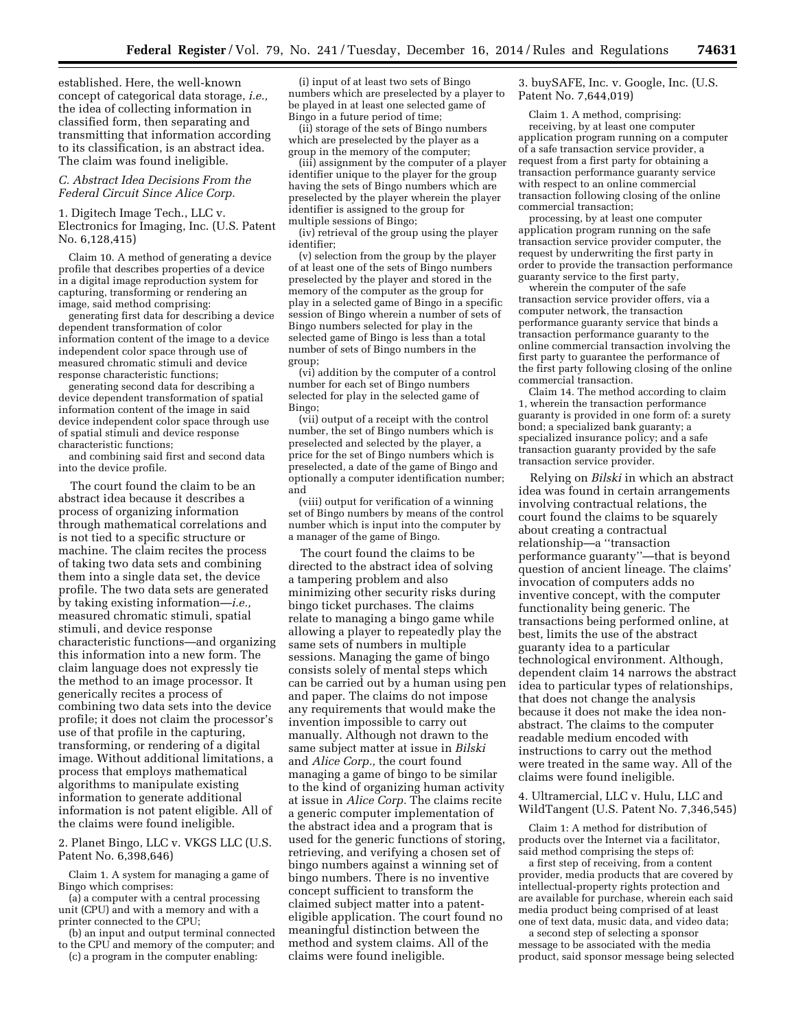established. Here, the well-known concept of categorical data storage, *i.e.,*  the idea of collecting information in classified form, then separating and transmitting that information according to its classification, is an abstract idea. The claim was found ineligible.

### *C. Abstract Idea Decisions From the Federal Circuit Since Alice Corp.*

1. Digitech Image Tech., LLC v. Electronics for Imaging, Inc. (U.S. Patent No. 6,128,415)

Claim 10. A method of generating a device profile that describes properties of a device in a digital image reproduction system for capturing, transforming or rendering an image, said method comprising:

generating first data for describing a device dependent transformation of color information content of the image to a device independent color space through use of measured chromatic stimuli and device response characteristic functions;

generating second data for describing a device dependent transformation of spatial information content of the image in said device independent color space through use of spatial stimuli and device response characteristic functions;

and combining said first and second data into the device profile.

The court found the claim to be an abstract idea because it describes a process of organizing information through mathematical correlations and is not tied to a specific structure or machine. The claim recites the process of taking two data sets and combining them into a single data set, the device profile. The two data sets are generated by taking existing information—*i.e.,*  measured chromatic stimuli, spatial stimuli, and device response characteristic functions—and organizing this information into a new form. The claim language does not expressly tie the method to an image processor. It generically recites a process of combining two data sets into the device profile; it does not claim the processor's use of that profile in the capturing, transforming, or rendering of a digital image. Without additional limitations, a process that employs mathematical algorithms to manipulate existing information to generate additional information is not patent eligible. All of the claims were found ineligible.

2. Planet Bingo, LLC v. VKGS LLC (U.S. Patent No. 6,398,646)

Claim 1. A system for managing a game of Bingo which comprises:

(a) a computer with a central processing unit (CPU) and with a memory and with a printer connected to the CPU;

(b) an input and output terminal connected to the CPU and memory of the computer; and

(c) a program in the computer enabling:

(i) input of at least two sets of Bingo numbers which are preselected by a player to be played in at least one selected game of Bingo in a future period of time;

(ii) storage of the sets of Bingo numbers which are preselected by the player as a group in the memory of the computer;

(iii) assignment by the computer of a player identifier unique to the player for the group having the sets of Bingo numbers which are preselected by the player wherein the player identifier is assigned to the group for multiple sessions of Bingo;

(iv) retrieval of the group using the player identifier;

(v) selection from the group by the player of at least one of the sets of Bingo numbers preselected by the player and stored in the memory of the computer as the group for play in a selected game of Bingo in a specific session of Bingo wherein a number of sets of Bingo numbers selected for play in the selected game of Bingo is less than a total number of sets of Bingo numbers in the group;

(vi) addition by the computer of a control number for each set of Bingo numbers selected for play in the selected game of Bingo;

(vii) output of a receipt with the control number, the set of Bingo numbers which is preselected and selected by the player, a price for the set of Bingo numbers which is preselected, a date of the game of Bingo and optionally a computer identification number; and

(viii) output for verification of a winning set of Bingo numbers by means of the control number which is input into the computer by a manager of the game of Bingo.

The court found the claims to be directed to the abstract idea of solving a tampering problem and also minimizing other security risks during bingo ticket purchases. The claims relate to managing a bingo game while allowing a player to repeatedly play the same sets of numbers in multiple sessions. Managing the game of bingo consists solely of mental steps which can be carried out by a human using pen and paper. The claims do not impose any requirements that would make the invention impossible to carry out manually. Although not drawn to the same subject matter at issue in *Bilski*  and *Alice Corp.,* the court found managing a game of bingo to be similar to the kind of organizing human activity at issue in *Alice Corp.* The claims recite a generic computer implementation of the abstract idea and a program that is used for the generic functions of storing, retrieving, and verifying a chosen set of bingo numbers against a winning set of bingo numbers. There is no inventive concept sufficient to transform the claimed subject matter into a patenteligible application. The court found no meaningful distinction between the method and system claims. All of the claims were found ineligible.

3. buySAFE, Inc. v. Google, Inc. (U.S. Patent No. 7,644,019)

Claim 1. A method, comprising: receiving, by at least one computer application program running on a computer of a safe transaction service provider, a request from a first party for obtaining a transaction performance guaranty service with respect to an online commercial transaction following closing of the online commercial transaction;

processing, by at least one computer application program running on the safe transaction service provider computer, the request by underwriting the first party in order to provide the transaction performance guaranty service to the first party,

wherein the computer of the safe transaction service provider offers, via a computer network, the transaction performance guaranty service that binds a transaction performance guaranty to the online commercial transaction involving the first party to guarantee the performance of the first party following closing of the online commercial transaction.

Claim 14. The method according to claim 1, wherein the transaction performance guaranty is provided in one form of: a surety bond; a specialized bank guaranty; a specialized insurance policy; and a safe transaction guaranty provided by the safe transaction service provider.

Relying on *Bilski* in which an abstract idea was found in certain arrangements involving contractual relations, the court found the claims to be squarely about creating a contractual relationship—a ''transaction performance guaranty''—that is beyond question of ancient lineage. The claims' invocation of computers adds no inventive concept, with the computer functionality being generic. The transactions being performed online, at best, limits the use of the abstract guaranty idea to a particular technological environment. Although, dependent claim 14 narrows the abstract idea to particular types of relationships, that does not change the analysis because it does not make the idea nonabstract. The claims to the computer readable medium encoded with instructions to carry out the method were treated in the same way. All of the claims were found ineligible.

4. Ultramercial, LLC v. Hulu, LLC and WildTangent (U.S. Patent No. 7,346,545)

Claim 1: A method for distribution of products over the Internet via a facilitator, said method comprising the steps of:

a first step of receiving, from a content provider, media products that are covered by intellectual-property rights protection and are available for purchase, wherein each said media product being comprised of at least one of text data, music data, and video data;

a second step of selecting a sponsor message to be associated with the media product, said sponsor message being selected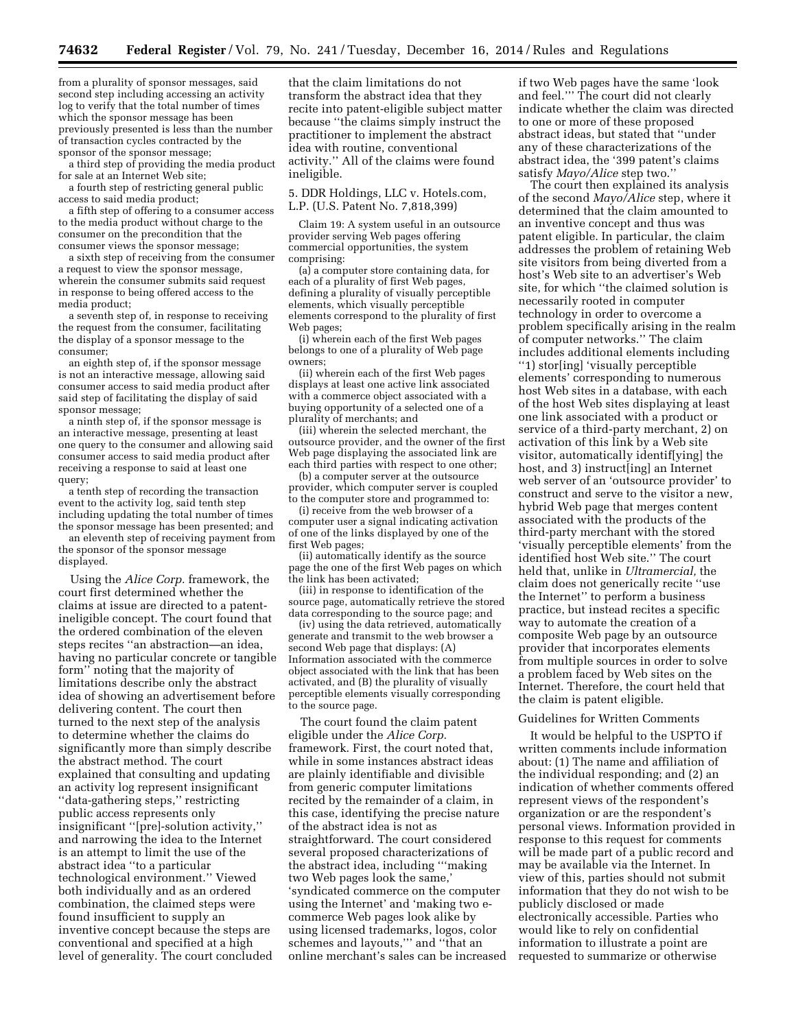from a plurality of sponsor messages, said second step including accessing an activity log to verify that the total number of times which the sponsor message has been previously presented is less than the number of transaction cycles contracted by the sponsor of the sponsor message;

a third step of providing the media product for sale at an Internet Web site;

a fourth step of restricting general public access to said media product;

a fifth step of offering to a consumer access to the media product without charge to the consumer on the precondition that the consumer views the sponsor message;

a sixth step of receiving from the consumer a request to view the sponsor message, wherein the consumer submits said request in response to being offered access to the media product;

a seventh step of, in response to receiving the request from the consumer, facilitating the display of a sponsor message to the consumer;

an eighth step of, if the sponsor message is not an interactive message, allowing said consumer access to said media product after said step of facilitating the display of said sponsor message;

a ninth step of, if the sponsor message is an interactive message, presenting at least one query to the consumer and allowing said consumer access to said media product after receiving a response to said at least one query;

a tenth step of recording the transaction event to the activity log, said tenth step including updating the total number of times the sponsor message has been presented; and

an eleventh step of receiving payment from the sponsor of the sponsor message displayed.

Using the *Alice Corp.* framework, the court first determined whether the claims at issue are directed to a patentineligible concept. The court found that the ordered combination of the eleven steps recites ''an abstraction—an idea, having no particular concrete or tangible form'' noting that the majority of limitations describe only the abstract idea of showing an advertisement before delivering content. The court then turned to the next step of the analysis to determine whether the claims do significantly more than simply describe the abstract method. The court explained that consulting and updating an activity log represent insignificant ''data-gathering steps,'' restricting public access represents only insignificant ''[pre]-solution activity,'' and narrowing the idea to the Internet is an attempt to limit the use of the abstract idea ''to a particular technological environment.'' Viewed both individually and as an ordered combination, the claimed steps were found insufficient to supply an inventive concept because the steps are conventional and specified at a high level of generality. The court concluded

that the claim limitations do not transform the abstract idea that they recite into patent-eligible subject matter because ''the claims simply instruct the practitioner to implement the abstract idea with routine, conventional activity.'' All of the claims were found ineligible.

5. DDR Holdings, LLC v. Hotels.com, L.P. (U.S. Patent No. 7,818,399)

Claim 19: A system useful in an outsource provider serving Web pages offering commercial opportunities, the system comprising:

(a) a computer store containing data, for each of a plurality of first Web pages, defining a plurality of visually perceptible elements, which visually perceptible elements correspond to the plurality of first Web pages;

(i) wherein each of the first Web pages belongs to one of a plurality of Web page owners;

(ii) wherein each of the first Web pages displays at least one active link associated with a commerce object associated with a buying opportunity of a selected one of a plurality of merchants; and

(iii) wherein the selected merchant, the outsource provider, and the owner of the first Web page displaying the associated link are each third parties with respect to one other;

(b) a computer server at the outsource provider, which computer server is coupled to the computer store and programmed to:

(i) receive from the web browser of a computer user a signal indicating activation of one of the links displayed by one of the first Web pages;

(ii) automatically identify as the source page the one of the first Web pages on which the link has been activated;

(iii) in response to identification of the source page, automatically retrieve the stored data corresponding to the source page; and

(iv) using the data retrieved, automatically generate and transmit to the web browser a second Web page that displays: (A) Information associated with the commerce object associated with the link that has been activated, and (B) the plurality of visually perceptible elements visually corresponding to the source page.

The court found the claim patent eligible under the *Alice Corp.*  framework. First, the court noted that, while in some instances abstract ideas are plainly identifiable and divisible from generic computer limitations recited by the remainder of a claim, in this case, identifying the precise nature of the abstract idea is not as straightforward. The court considered several proposed characterizations of the abstract idea, including '''making two Web pages look the same,' 'syndicated commerce on the computer using the Internet' and 'making two ecommerce Web pages look alike by using licensed trademarks, logos, color schemes and layouts,''' and ''that an online merchant's sales can be increased if two Web pages have the same 'look and feel.''' The court did not clearly indicate whether the claim was directed to one or more of these proposed abstract ideas, but stated that ''under any of these characterizations of the abstract idea, the '399 patent's claims satisfy *Mayo/Alice* step two.''

The court then explained its analysis of the second *Mayo/Alice* step, where it determined that the claim amounted to an inventive concept and thus was patent eligible. In particular, the claim addresses the problem of retaining Web site visitors from being diverted from a host's Web site to an advertiser's Web site, for which ''the claimed solution is necessarily rooted in computer technology in order to overcome a problem specifically arising in the realm of computer networks.'' The claim includes additional elements including ''1) stor[ing] 'visually perceptible elements' corresponding to numerous host Web sites in a database, with each of the host Web sites displaying at least one link associated with a product or service of a third-party merchant, 2) on activation of this link by a Web site visitor, automatically identif[ying] the host, and 3) instruct[ing] an Internet web server of an 'outsource provider' to construct and serve to the visitor a new, hybrid Web page that merges content associated with the products of the third-party merchant with the stored 'visually perceptible elements' from the identified host Web site.'' The court held that, unlike in *Ultramercial,* the claim does not generically recite ''use the Internet'' to perform a business practice, but instead recites a specific way to automate the creation of a composite Web page by an outsource provider that incorporates elements from multiple sources in order to solve a problem faced by Web sites on the Internet. Therefore, the court held that the claim is patent eligible.

# Guidelines for Written Comments

It would be helpful to the USPTO if written comments include information about: (1) The name and affiliation of the individual responding; and (2) an indication of whether comments offered represent views of the respondent's organization or are the respondent's personal views. Information provided in response to this request for comments will be made part of a public record and may be available via the Internet. In view of this, parties should not submit information that they do not wish to be publicly disclosed or made electronically accessible. Parties who would like to rely on confidential information to illustrate a point are requested to summarize or otherwise